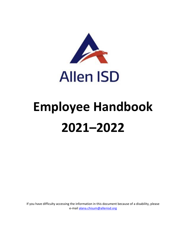

# **Employee Handbook 2021–2022**

If you have difficulty accessing the information in this document because of a disability, please e-mail alana.chisum@allenisd.org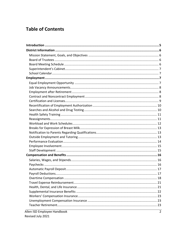# **Table of Contents**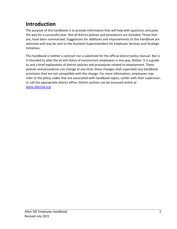# <span id="page-4-0"></span>**Introduction**

The purpose of this handbook is to provide information that will help with questions and pave the way for a successful year. Not all district policies and procedures are included. Those that are, have been summarized. Suggestions for additions and improvements to this handbook are welcome and may be sent to the Assistant Superintendent for Employee Services and Strategic Initiatives.

This handbook is neither a contract nor a substitute for the official district policy manual. Nor is it intended to alter the at-will status of noncontract employees in any way. Rather, it is a guide to and a brief explanation of district policies and procedures related to employment. These policies and procedures can change at any time; these changes shall supersede any handbook provisions that are not compatible with the change. For more information, employees may refer to the policy codes that are associated with handbook topics, confer with their supervisor, or call the appropriate district office. District policies can be accessed online at [www.allenisd.org.](http://www.allenisd.org/)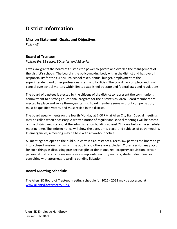# <span id="page-5-0"></span>**District Information**

#### <span id="page-5-1"></span>**Mission Statement, Goals, and Objectives**

*Policy AE* 

# <span id="page-5-2"></span>**Board of Trustees**

*Policies BA, BB series, BD series, and BE series* 

Texas law grants the board of trustees the power to govern and oversee the management of the district's schools. The board is the policy-making body within the district and has overall responsibility for the curriculum, school taxes, annual budget, employment of the superintendent and other professional staff, and facilities. The board has complete and final control over school matters within limits established by state and federal laws and regulations.

The board of trustees is elected by the citizens of the district to represent the community's commitment to a strong educational program for the district's children. Board members are elected by place and serve three-year terms. Board members serve without compensation, must be qualified voters, and must reside in the district.

The board usually meets on the fourth Monday at 7:00 PM at Allen City Hall. Special meetings may be called when necessary. A written notice of regular and special meetings will be posted on the district website and at the administration building at least 72 hours before the scheduled meeting time. The written notice will show the date, time, place, and subjects of each meeting. In emergencies, a meeting may be held with a two-hour notice.

All meetings are open to the public. In certain circumstances, Texas law permits the board to go into a closed session from which the public and others are excluded. Closed session may occur for such things as discussing prospective gifts or donations, real-property acquisition, certain personnel matters including employee complaints, security matters, student discipline, or consulting with attorneys regarding pending litigation.

# <span id="page-5-3"></span>**Board Meeting Schedule**

The Allen ISD Board of Trustees meeting schedule for 2021 - 2022 may be accessed at [www.allenisd.org/Page/59573](https://www.allenisd.org/Page/59573)[.](http://www.allenisd.org/Page/44)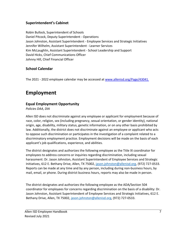# <span id="page-6-0"></span>**Superintendent's Cabinet**

Robin Bullock, Superintendent of Schools Daniel Pitcock, Deputy Superintendent - Operations Jason Johnston, Assistant Superintendent - Employee Services and Strategic Initiatives Jennifer Wilhelm, Assistant Superintendent - Learner Services Kim McLaughlin, Assistant Superintendent - School Leadership and Support David Hicks, Chief Communications Officer Johnny Hill, Chief Financial Officer

# <span id="page-6-1"></span>**School Calendar**

The 2021 - 2022 employee calendar may be accessed a[t www.allenisd.org/Page/43041](https://www.allenisd.org/Page/43041)[.](http://www.allenisd.org/Page/641)

# <span id="page-6-2"></span>**Employment**

# <span id="page-6-3"></span>**Equal Employment Opportunity**

*Policies DAA, DIA* 

Allen ISD does not discriminate against any employee or applicant for employment because of race, color, religion, sex (including pregnancy, sexual orientation, or gender identity), national origin, age, disability, military status, genetic information, or on any other basis prohibited by law. Additionally, the district does not discriminate against an employee or applicant who acts to oppose such discrimination or participates in the investigation of a complaint related to a discriminatory employment practice. Employment decisions will be made on the basis of each applicant's job qualifications, experience, and abilities.

The district designates and authorizes the following employee as the Title IX coordinator for employees to address concerns or inquiries regarding discrimination, including sexual harassment: Dr. Jason Johnston, Assistant Superintendent of Employee Services and Strategic Initiatives, 612 E. Bethany Drive, Allen, TX 75002, [jason.johnston@allenisd.org,](mailto:jason.johnston@allenisd.org) (972) 727-0533. Reports can be made at any time and by any person, including during non-business hours, by mail, email, or phone. During district business hours, reports may also be made in person.

The district designates and authorizes the following employee as the ADA/Section 504 coordinator for employees for concerns regarding discrimination on the basis of a disability: Dr. Jason Johnston, Assistant Superintendent of Employee Services and Strategic Initiatives, 612 E. Bethany Drive, Allen, TX 75002, [jason.johnston@allenisd.org,](mailto:jason.johnston@allenisd.org) (972) 727-0533.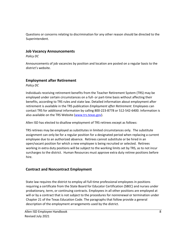<span id="page-7-0"></span>Questions or concerns relating to discrimination for any other reason should be directed to the Superintendent.

#### **Job Vacancy Announcements**

*Policy DC* 

Announcements of job vacancies by position and location are posted on a regular basis to the district's website.

# <span id="page-7-1"></span>**Employment after Retirement**

*Policy DC* 

Individuals receiving retirement benefits from the Teacher Retirement System (TRS) may be employed under certain circumstances on a full- or part-time basis without affecting their benefits, according to TRS rules and state law. Detailed information about employment after retirement is available in the TRS publication *Employment after Retirement*. Employees can contact TRS for additional information by calling 800-223-8778 or 512-542-6400. Information is also available on the TRS Website [\(www.trs.texas.gov\).](http://www.trs.texas.gov/)

Allen ISD has elected to disallow employment of TRS retirees except as follows:

TRS retirees may be employed as substitutes in limited circumstances only. The substitute assignment can only be for a regular position for a designated period when replacing a current employee due to an authorized absence. Retirees cannot substitute or be hired in an open/vacant position for which a new employee is being recruited or selected. Retirees working in extra duty positions will be subject to the working limits set by TRS, as to not incur surcharges to the district. Human Resources must approve extra duty retiree positions before hire.

# <span id="page-7-2"></span>**Contract and Noncontract Employment**

State law requires the district to employ all full-time professional employees in positions requiring a certificate from the State Board for Educator Certification (SBEC) and nurses under probationary, term, or continuing contracts. Employees in all other positions are employed at will or by a contract that is not subject to the procedures for nonrenewal or termination under Chapter 21 of the Texas Education Code. The paragraphs that follow provide a general description of the employment arrangements used by the district.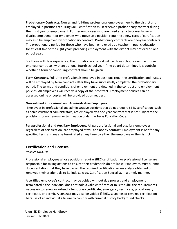**Probationary Contracts.** Nurses and full-time professional employees new to the district and employed in positions requiring SBEC certification must receive a probationary contract during their first year of employment. Former employees who are hired after a two-year lapse in district employment or employees who move to a position requiring a new class of certification may also be employed by probationary contract. Probationary contracts are one-year contracts. The probationary period for those who have been employed as a teacher in public education for at least five of the eight years preceding employment with the district may not exceed one school year.

For those with less experience, the probationary period will be three school years (i.e., three one-year contracts) with an optional fourth school year if the board determines it is doubtful whether a term or continuing contract should be given.

**Term Contracts.** Full-time professionals employed in positions requiring certification and nurses will be employed by term contracts after they have successfully completed the probationary period. The terms and conditions of employment are detailed in the contract and employment policies. All employees will receive a copy of their contract. Employment policies can be accessed online or copies will be provided upon request.

#### **Noncertified Professional and Administrative Employees.**

Employees in professional and administrative positions that do not require SBEC certification (such as noninstructional administrators) are employed by a one-year contract that is not subject to the provisions for nonrenewal or termination under the Texas Education Code.

**Paraprofessional and Auxiliary Employees.** All paraprofessional and auxiliary employees, regardless of certification, are employed at will and not by contract. Employment is not for any specified term and may be terminated at any time by either the employee or the district.

# <span id="page-8-0"></span>**Certification and Licenses**

*Policies DBA, DF* 

Professional employees whose positions require SBEC certification or professional license are responsible for taking actions to ensure their credentials do not lapse. Employees must submit documentation that they have passed the required certification exam and/or obtained or renewed their credentials to Belinda Salcido, Certification Specialist, in a timely manner.

A certified employee's contract may be voided without due process and employment terminated if the individual does not hold a valid certificate or fails to fulfill the requirements necessary to renew or extend a temporary certificate, emergency certificate, probationary certificate, or permit. A contract may also be voided if SBEC suspends or revokes certification because of an individual's failure to comply with criminal history background checks.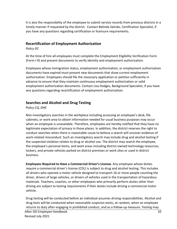It is also the responsibility of the employee to submit service records from previous districts in a timely manner if requested by the district. Contact Belinda Salcido, Certification Specialist, if you have any questions regarding certification or licensure requirements.

#### <span id="page-9-0"></span>**Recertification of Employment Authorization**

*Policy DC* 

At the time of hire all employees must complete the Employment Eligibility Verification Form (Form I-9) and present documents to verify identity and employment authorization.

Employees whose immigration status, employment authorization, or employment authorization documents have expired must present new documents that show current employment authorization. Employees should file the necessary application or petition sufficiently in advance to ensure that they maintain continuous employment authorization or valid employment authorization documents. Contact Lisa Hodges, Background Specialist, if you have any questions regarding recertification of employment authorization.

# <span id="page-9-1"></span>**Searches and Alcohol and Drug Testing**

#### *Policy CQ, DHE*

Non-investigatory searches in the workplace including accessing an employee's desk, file cabinets, or work area to obtain information needed for usual business purposes may occur when an employee is unavailable. Therefore, employees are hereby notified that they have no legitimate expectation of privacy in those places. In addition, the district reserves the right to conduct searches when there is reasonable cause to believe a search will uncover evidence of work-related misconduct. Such an investigatory search may include drug and alcohol testing if the suspected violation relates to drug or alcohol use. The district may search the employee, the employee's personal items, and work areas including district-owned technology resources, lockers, and private vehicles parked on district premises or work sites or used in district business.

**Employees Required to Have a Commercial Driver's License.** Any employee whose duties require a commercial driver's license (CDL) is subject to drug and alcohol testing. This includes all drivers who operate a motor vehicle designed to transport 16 or more people counting the driver, drivers of large vehicles, or drivers of vehicles used in the transportation of hazardous materials. Teachers, coaches, or other employees who primarily perform duties other than driving are subject to testing requirements if their duties include driving a commercial motor vehicle.

Allen ISD Employee Handbook 10 Revised July 2021 Drug testing will be conducted before an individual assumes driving responsibilities. Alcohol and drug tests will be conducted when reasonable suspicion exists, at random, when an employee returns to duty after engaging in prohibited conduct, and as a follow-up measure. Testing may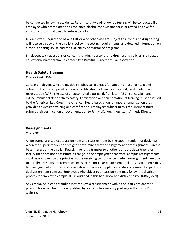be conducted following accidents. Return-to-duty and follow-up testing will be conducted if an employee who has violated the prohibited alcohol conduct standards or tested positive for alcohol or drugs is allowed to return to duty.

All employees required to have a CDL or who otherwise are subject to alcohol and drug testing will receive a copy of the district's policy, the testing requirements, and detailed information on alcohol and drug abuse and the availability of assistance programs.

Employees with questions or concerns relating to alcohol and drug testing policies and related educational material should contact Kyle Pursifull, Director of Transportation.

# <span id="page-10-0"></span>**Health Safety Training**

*Policies DBA, DMA* 

Certain employees who are involved in physical activities for students must maintain and submit to the district proof of current certification or training in first aid, cardiopulmonary resuscitation (CPR), the use of an automated external defibrillator (AED), concussion, and extracurricular athletic activity safety. Certification or documentation of training must be issued by the American Red Cross, the American Heart Association, or another organization that provides equivalent training and certification. Employees subject to this requirement must submit their certification or documentation to Jeff McCullough, Assistant Athletic Director.

# <span id="page-10-1"></span>**Reassignments**

*Policy DK* 

All personnel are subject to assignment and reassignment by the superintendent or designee when the superintendent or designee determines that the assignment or reassignment is in the best interest of the district. Reassignment is a transfer to another position, department, or facility that does not necessitate a change in the employment contract. Campus reassignments must be approved by the principal at the receiving campus except when reassignments are due to enrollment shifts or program changes. Extracurricular or supplemental duty assignments may be reassigned at any time unless an extracurricular or supplemental duty assignment is part of a dual-assignment contract. Employees who object to a reassignment may follow the district process for employee complaints as outlined in this handbook and district policy DGBA (Local).

Any employee in good standing may request a reassignment within the District to another position for which he or she is qualified by applying to a vacancy posting on the District's website.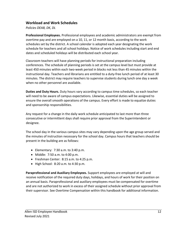#### <span id="page-11-0"></span>**Workload and Work Schedules**

*Policies DEAB, DK, DL* 

**Professional Employees.** Professional employees and academic administrators are exempt from overtime pay and are employed on a 10, 11, or 12 month basis, according to the work schedules set by the district. A school calendar is adopted each year designating the work schedule for teachers and all school holidays. Notice of work schedules including start and end dates and scheduled holidays will be distributed each school year.

Classroom teachers will have planning periods for instructional preparation including conferences. The schedule of planning periods is set at the campus level but must provide at least 450 minutes within each two-week period in blocks not less than 45 minutes within the instructional day. Teachers and librarians are entitled to a duty-free lunch period of at least 30 minutes. The district may require teachers to supervise students during lunch one day a week when no other personnel are available.

**Duties and Duty Hours.** Duty hours vary according to campus time schedules, so each teacher will need to be aware of campus expectations. Likewise, essential duties will be assigned to ensure the overall smooth operations of the campus. Every effort is made to equalize duties and sponsorship responsibilities.

Any request for a change in the daily work schedule anticipated to last more than three consecutive or intermittent days shall require prior approval from the Superintendent or designee.

The school day in the various campus sites may vary depending upon the age group served and the minutes of instruction necessary for the school day. Campus hours that teachers should be present in the building are as follows:

- Elementary:  $7:30$  a.m. to  $3:40$  p.m.
- Middle: 7:50 a.m. to 4:00 p.m.
- Freshman Center: 8:15 a.m. to 4:25 p.m.
- High School: 8:20 a.m. to 4:30 p.m.

**Paraprofessional and Auxiliary Employees.** Support employees are employed at will and receive notification of the required duty days, holidays, and hours of work for their position on an annual basis. Paraprofessional and auxiliary employees must be compensated for overtime and are not authorized to work in excess of their assigned schedule without prior approval from their supervisor. See Overtime Compensation within this handbook for additional information.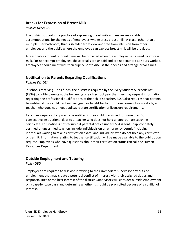#### <span id="page-12-0"></span>**Breaks for Expression of Breast Milk**

#### *Policies DEAB, DG*

The district supports the practice of expressing breast milk and makes reasonable accommodations for the needs of employees who express breast milk. A place, other than a multiple user bathroom, that is shielded from view and free from intrusion from other employees and the public where the employee can express breast milk will be provided.

A reasonable amount of break time will be provided when the employee has a need to express milk. For nonexempt employees, these breaks are unpaid and are not counted as hours worked. Employees should meet with their supervisor to discuss their needs and arrange break times.

# <span id="page-12-1"></span>**Notification to Parents Regarding Qualifications**

*Policies DK, DBA* 

In schools receiving Title I funds, the district is required by the Every Student Succeeds Act (ESSA) to notify parents at the beginning of each school year that they may request information regarding the professional qualifications of their child's teacher. ESSA also requires that parents be notified if their child has been assigned or taught for four or more consecutive weeks by a teacher who does not meet applicable state certification or licensure requirements.

Texas law requires that parents be notified if their child is assigned for more than 30 consecutive instructional days to a teacher who does not hold an appropriate teaching certificate. This notice is not required if parental notice under ESSA is sent. Inappropriately certified or uncertified teachers include individuals on an emergency permit (including individuals waiting to take a certification exam) and individuals who do not hold any certificate or permit. Information relating to teacher certification will be made available to the public upon request. Employees who have questions about their certification status can call the Human Resources Department.

# <span id="page-12-2"></span>**Outside Employment and Tutoring**

*Policy DBD* 

Employees are required to disclose in writing to their immediate supervisor any outside employment that may create a potential conflict of interest with their assigned duties and responsibilities or the best interest of the district. Supervisors will consider outside employment on a case-by-case basis and determine whether it should be prohibited because of a conflict of interest.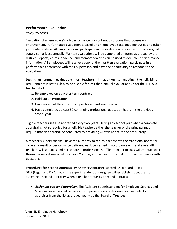# <span id="page-13-0"></span>**Performance Evaluation**

*Policy DN series* 

Evaluation of an employee's job performance is a continuous process that focuses on improvement. Performance evaluation is based on an employee's assigned job duties and other job-related criteria. All employees will participate in the evaluation process with their assigned supervisor at least annually. Written evaluations will be completed on forms approved by the district. Reports, correspondence, and memoranda also can be used to document performance information. All employees will receive a copy of their written evaluation, participate in a performance conference with their supervisor, and have the opportunity to respond to the evaluation.

**Less than annual evaluations for teachers**. In addition to meeting the eligibility requirements in state rules, to be eligible for less-than-annual evaluations under the TTESS, a teacher shall:

- 1. Be employed on educator term contract
- 2. Hold SBEC Certification
- 3. Have served at the current campus for at least one year; and
- 4. Have completed at least 30 continuing professional education hours in the previous school year.

Eligible teachers shall be appraised every two years. During any school year when a complete appraisal is not scheduled for an eligible teacher, either the teacher or the principal may require that an appraisal be conducted by providing written notice to the other party.

A teacher's supervisor shall have the authority to return a teacher to the traditional appraisal cycle as a result of performance deficiencies documented in accordance with state rule. All teachers will set goals and participate in professional staff learning. Principals will conduct walkthrough observations on all teachers. You may contact your principal or Human Resources with questions.

**Procedures for Second Appraisal by Another Appraiser**. According to Board Policy DNA (Legal) and DNA (Local) the superintendent or designee will establish procedures for assigning a second appraiser when a teacher requests a second appraisal.

• *Assigning a second appraiser.* The Assistant Superintendent for Employee Services and Strategic Initiatives will serve as the superintendent's designee and will select an appraiser from the list approved yearly by the Board of Trustees.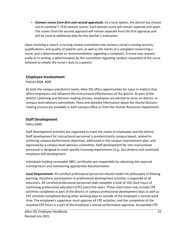• *Domain scores from first and second appraisals***.** As a local option, the district has chosen not to combine T-TESS domain scores. Each domain score will remain separate and apart. The scores from the second appraisal will remain separate from the first appraisal and will be used as additional data for the teacher's evaluation.

Upon receiving a report, a nursing review committee may review a nurse's nursing services, qualifications, and quality of patient care, as well as the merits of a complaint concerning a nurse, and a determination or recommendation regarding a complaint. A nurse may request, orally or in writing, a determination by the committee regarding conduct requested of the nurse believed to violate the nurse's duty to a patient.

# <span id="page-14-0"></span>**Employee Involvement**

*Policies BQA, BQB* 

At both the campus and district levels, Allen ISD offers opportunities for input in matters that affect employees and influence the instructional effectiveness of the district. As part of the district's planning and decision-making process, employees are elected to serve on district- or campus-level advisory committees. Plans and detailed information about the shared decisionmaking process are available in each campus office or from the Human Resources Department.

#### <span id="page-14-1"></span>**Staff Development**

#### *Policy DMA*

Staff development activities are organized to meet the needs of employees and the district. Staff development for instructional personnel is predominantly campus-based, related to achieving campus performance objectives, addressed in the campus improvement plan, and approved by a campus-level advisory committee. Staff development for non-instructional personnel is designed to meet specific licensing requirements (e.g., bus drivers) and continued employee skill development.

Individuals holding renewable SBEC certificates are responsible for obtaining the required training hours and maintaining appropriate documentation.

**Local Requirement.** All certified professional personnel should model the philosophy of lifelong learning; therefore, participation in professional development activities is expected of all educators. All certified professional personnel shall complete a total of 150 clock hours of continuing professional education (CPE) every five years. These clock hours may include CPE activities completed as part of the district or campus professional development days as well as CPE activities completed during other working days or outside of the employee's normal work time. The employee's supervisor must approve all CPE activities, and the completion of the required CPE hours is a part of the employee's annual performance appraisal. Acceptable CPE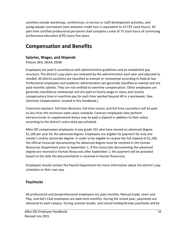activities include workshops, conferences, in-service or staff development activities, and postgraduate coursework (one semester credit hour is equivalent to 15 CPE clock hours). All part-time certified professional personnel shall complete a total of 75 clock hours of continuing professional education (CPE) every five years.

# <span id="page-15-0"></span>**Compensation and Benefits**

# <span id="page-15-1"></span>**Salaries, Wages, and Stipends**

*Policies DEA, DEAA, DEAB* 

Employees are paid in accordance with administrative guidelines and an established pay structure. The district's pay plans are reviewed by the administration each year and adjusted as needed. All district positions are classified as exempt or nonexempt according to federal law. Professional employees and academic administrators are generally classified as exempt and are paid monthly salaries. They are not entitled to overtime compensation. Other employees are generally classified as nonexempt and are paid an hourly wage or salary and receive compensatory time or overtime pay for each hour worked beyond 40 in a workweek. (See *Overtime Compensation*, located in this handbook.)

Classroom teachers, full-time librarians, full-time nurses, and full-time counselors will be paid no less than the minimum state salary schedule. Contract employees who perform extracurricular or supplemental duties may be paid a stipend in addition to their salary according to the district's extra-duty pay schedule.

Allen ISD compensates employees in pay grade 101 who have earned an advanced degree \$1,100 per year for the advanced degree. Employees are eligible for payment for only one master's and/or doctorate degree. In order to be eligible to receive the full stipend of \$1,100, the official transcript documenting the advanced degree must be received in the Human Resources Department prior to September 1. If the transcripts documenting the advanced degree are received in Human Resources after September 1, the payment will be prorated based on the date the documentation is received in Human Resources.

Employees should contact the Payroll Department for more information about the district's pay schedules or their own pay.

# <span id="page-15-2"></span>**Paychecks**

All professional and paraprofessional employees are paid monthly. Manual trade, Learn and Play, and Kid's Club employees are paid semi-monthly. During the school year, paychecks are delivered to each campus. During summer breaks, and school holiday/breaks paychecks will be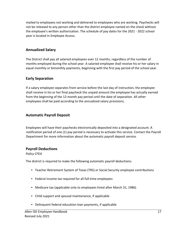mailed to employees not working and delivered to employees who are working. Paychecks will not be released to any person other than the district employee named on the check without the employee's written authorization. The schedule of pay dates for the 2021 - 2022 school year is located in Employee Access.

## **Annualized Salary**

The District shall pay all salaried employees over 12 months, regardless of the number of months employed during the school year. A salaried employee shall receive his or her salary in equal monthly or bimonthly payments, beginning with the first pay period of the school year.

# **Early Separation**

If a salary employee separates from service before the last day of instruction, the employee shall receive in his or her final paycheck the unpaid amount the employee has actually earned from the beginning of the 12-month pay period until the date of separation. All other employees shall be paid according to the annualized salary provisions.

## <span id="page-16-0"></span>**Automatic Payroll Deposit**

Employees will have their paychecks electronically deposited into a designated account. A notification period of one (1) pay period is necessary to activate this service. Contact the Payroll Department for more information about the automatic payroll deposit service.

#### <span id="page-16-1"></span>**Payroll Deductions**

*Policy CFEA* 

The district is required to make the following automatic payroll deductions:

- Teacher Retirement System of Texas (TRS) or Social Security employee contributions
- Federal income tax required for all full-time employees
- Medicare tax (applicable only to employees hired after March 31, 1986)
- Child support and spousal maintenance, if applicable
- Delinquent federal education loan payments, if applicable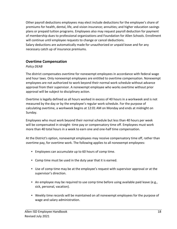Other payroll deductions employees may elect include deductions for the employee's share of premiums for health, dental, life, and vision insurance; annuities; and higher education savings plans or prepaid tuition programs. Employees also may request payroll deduction for payment of membership dues to professional organizations and Foundation for Allen Schools. Enrollment will continue until employee requests to change or cancel deductions.

Salary deductions are automatically made for unauthorized or unpaid leave and for any necessary catch up of insurance premiums.

#### <span id="page-17-0"></span>**Overtime Compensation**

#### *Policy DEAB*

The district compensates overtime for nonexempt employees in accordance with federal wage and hour laws. Only nonexempt employees are entitled to overtime compensation. Nonexempt employees are not authorized to work beyond their normal work schedule without advance approval from their supervisor. A nonexempt employee who works overtime without prior approval will be subject to disciplinary action.

Overtime is legally defined as all hours worked in excess of 40 hours in a workweek and is not measured by the day or by the employee's regular work schedule. For the purpose of calculating overtime, a workweek begins at 12:01 AM on Monday and ends at midnight on Sunday.

Employees who must work beyond their normal schedule but less than 40 hours per week will be compensated in straight- time pay or compensatory time off. Employees must work more than 40 total hours in a week to earn one and one-half time compensation.

At the District's option, nonexempt employees may receive compensatory time off, rather than overtime pay, for overtime work. The following applies to all nonexempt employees:

- Employees can accumulate up to 60 hours of comp time.
- Comp time must be used in the duty year that it is earned.
- Use of comp time may be at the employee's request with supervisor approval or at the supervisor's direction.
- An employee may be required to use comp time before using available paid leave (e.g., sick, personal, vacation).
- Weekly time records will be maintained on all nonexempt employees for the purpose of wage and salary administration.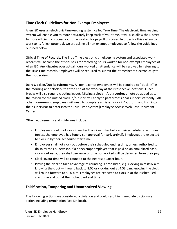# **Time Clock Guidelines for Non-Exempt Employees**

Allen ISD uses an electronic timekeeping system called True Time. The electronic timekeeping system will enable you to more accurately keep track of your time. It will also allow the District to more efficiently process your time worked for payroll purposes. In order for this system to work to its fullest potential, we are asking all non-exempt employees to follow the guidelines outlined below.

**Official Time of Records.** The True Time electronic timekeeping system and associated work records will become the official basis for recording hours worked for non-exempt employees of Allen ISD. Any disputes over actual hours worked or attendance will be resolved by referring to the True Time records. Employees will be required to submit their timesheets electronically to their supervisor.

**Daily Clock In/Out Requirements.** All non-exempt employees will be required to "clock-in" in the morning and "clock-out" at the end of the workday at their respective locations. Lunch breaks will also require clocking in/out. Missing a clock in/out **requires** a note be added as to the reason for the missed clock in/out (this will apply to paraprofessional support staff only). All other non-exempt employees will need to complete a missed clock in/out form and turn into their supervisor to enter into the True Time System (Employee Access-Web Post Document Center).

Other requirements and guidelines include:

- Employees should not clock in earlier than 7 minutes before their scheduled start times (unless the employee has Supervisor approval for early arrival). Employees are expected to clock in by their scheduled start time.
- Employees shall not clock out before their scheduled ending time, unless authorized to do so by their supervisor. If a nonexempt employee that is paid on an annualized basis clocks out early, they shall use leave or time not worked will be deducted from their pay.
- Clock in/out time will be rounded to the nearest quarter hour.
- Playing the clock to take advantage of rounding is prohibited, e.g. clocking in at 8:07 a.m. knowing the clock will round back to 8:00 or clocking out at 4:53 p.m. knowing the clock will round forward to 5:00 p.m. Employees are expected to clock in at their scheduled start time and out at their scheduled end time.

# **Falsification, Tampering and Unauthorized Viewing**

The following actions are considered a violation and could result in immediate disciplinary action including termination (see DH local).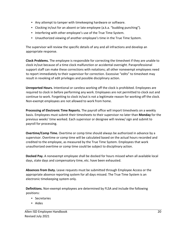- Any attempt to tamper with timekeeping hardware or software.
- Clocking in/out for an absent or late employee (a.k.a. "budding punching").
- Interfering with other employee's use of the True Time System.
- Unauthorized viewing of another employee's time in the True Time System.

The supervisor will review the specific details of any and all infractions and develop an appropriate response.

**Clock Problems.** The employee is responsible for correcting the timesheet if they are unable to clock in/out because of a time clock malfunction or accidental oversight. Paraprofessional support staff can make these corrections with notations; all other nonexempt employees need to report immediately to their supervisor for correction. Excessive "edits" to timesheet may result in revoking of edit privileges and possible disciplinary action.

**Unreported Hours.** Intentional or careless working off the clock is prohibited. Employees are required to clock in before performing any work. Employees are not permitted to clock out and continue to work. Forgetting to clock in/out is not a legitimate reason for working off the clock. Non-exempt employees are not allowed to work from home.

**Processing of Electronic Time Reports.** The payroll office will import timesheets on a weekly basis. Employees must submit their timesheets to their supervisor no later than **Monday** for the previous weeks' time worked. Each supervisor or designee will review/ sign and submit to payroll for processing.

**Overtime/Comp Time.** Overtime or comp time should always be authorized in advance by a supervisor. Overtime or comp time will be calculated based on the actual hours recorded and credited to the employee, as measured by the True Time System. Employees that work unauthorized overtime or comp time could be subject to disciplinary action.

**Docked Pay.** A nonexempt employee shall be docked for hours missed when all available local days, state days and compensatory time, etc. have been exhausted.

**Absences from Duty.** Leave requests must be submitted through Employee Access or the appropriate absence reporting system for all days missed. The True Time System is an electronic timekeeping system only.

**Definitions.** Non-exempt employees are determined by FLSA and include the following positions:

- Secretaries
- Aides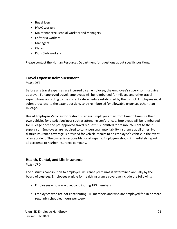- Bus drivers
- HVAC workers
- Maintenance/custodial workers and managers
- Cafeteria workers
- Managers
- Clerks
- Kid's Club workers

Please contact the Human Resources Department for questions about specific positions.

#### <span id="page-20-0"></span>**Travel Expense Reimbursement**

*Policy DEE* 

Before any travel expenses are incurred by an employee, the employee's supervisor must give approval. For approved travel, employees will be reimbursed for mileage and other travel expenditures according to the current rate schedule established by the district. Employees must submit receipts, to the extent possible, to be reimbursed for allowable expenses other than mileage.

**Use of Employee Vehicles for District Business**. Employees may from time to time use their own vehicles for district business such as attending conferences. Employees will be reimbursed for mileage once the pre-approved travel request is submitted for reimbursement to their supervisor. Employees are required to carry personal auto liability insurance at all times. No district insurance coverage is provided for vehicle repairs to an employee's vehicle in the event of an accident. The owner is responsible for all repairs. Employees should immediately report all accidents to his/her insurance company.

#### <span id="page-20-1"></span>**Health, Dental, and Life Insurance**

*Policy CRD* 

The district's contribution to employee insurance premiums is determined annually by the board of trustees. Employees eligible for health insurance coverage include the following:

- Employees who are active, contributing TRS members
- Employees who are not contributing TRS members and who are employed for 10 or more regularly scheduled hours per week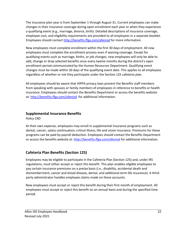The insurance plan year is from September 1 through August 31. Current employees can make changes in their insurance coverage during open enrollment each year or when they experience a qualifying event (e.g., marriage, divorce, birth). Detailed descriptions of insurance coverage, employee cost, and eligibility requirements are provided to all employees in a separate booklet. Employees should contact<http://benefits.ffga.com/allenisd> [f](http://benefits.ffga.com/allenisd)or more information.

New employees must complete enrollment within the first 30 days of employment. All new employees must complete the enrollment process even if waiving coverage. Except for qualifying events such as marriage, births, or job changes, new employees will only be able to add, change or drop selected benefits once every twelve months during the district's open enrollment period communicated by the Human Resources Department. Qualifying event changes must be made within 30 days of the qualifying event date. This applies to all employees regardless of whether or not they participate under the Section 125 cafeteria plan.

All employees should be aware that HIPPA privacy laws prevent the Benefits staff members from speaking with spouses or family members of employees in reference to benefits or health insurance. Employees should contact the Benefits Department or access the benefits website at:<http://benefits.ffga.com/allenisd> for additional information.

#### <span id="page-21-0"></span>**Supplemental Insurance Benefits**

*Policy CRD* 

At their own expense, employees may enroll in supplemental insurance programs such as dental, cancer, salary continuation, critical illness, life and vision insurance. Premiums for these programs can be paid by payroll deduction. Employees should contact the Benefits Department or access the benefits website at:<http://benefits.ffga.com/allenisd> for additional information.

# **Cafeteria Plan Benefits (Section 125)**

Employees may be eligible to participate in the Cafeteria Plan (Section 125) and, under IRS regulations, must either accept or reject this benefit. This plan enables eligible employees to pay certain insurance premiums on a pretax basis (i.e., disability, accidental death and dismemberment, cancer and dread disease, dental, and additional term life insurance). A thirdparty administrator handles employee claims made on these accounts.

New employees must accept or reject this benefit during their first month of employment. All employees must accept or reject this benefit on an annual basis and during the specified time period.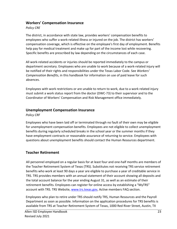#### <span id="page-22-0"></span>**Workers' Compensation Insurance**

#### *Policy CRE*

The district, in accordance with state law, provides workers' compensation benefits to employees who suffer a work-related illness or injured on the job. The district has workers' compensation coverage, which is effective on the employee's first day of employment. Benefits help pay for medical treatment and make up for part of the income lost while recovering. Specific benefits are prescribed by law depending on the circumstances of each case.

All work-related accidents or injuries should be reported immediately to the campus or department secretary. Employees who are unable to work because of a work-related injury will be notified of their rights and responsibilities under the Texas Labor Code. See *Workers' Compensation Benefits*, in this handbook for information on use of paid leave for such absences.

Employees with work restrictions or are unable to return to work, due to a work related injury must submit a work status report from the doctor (DWC-73) to their supervisor and to the Coordinator of Workers' Compensation and Risk Management office immediately.

#### <span id="page-22-1"></span>**Unemployment Compensation Insurance**

*Policy CRF* 

Employees who have been laid off or terminated through no fault of their own may be eligible for unemployment compensation benefits. Employees are not eligible to collect unemployment benefits during regularly scheduled breaks in the school year or the summer months if they have employment contracts or reasonable assurance of returning to service. Employees with questions about unemployment benefits should contact the Human Resources department.

# <span id="page-22-2"></span>**Teacher Retirement**

All personnel employed on a regular basis for at least four and one-half months are members of the Teacher Retirement System of Texas (TRS). Substitutes not receiving TRS service retirement benefits who work at least 90 days a year are eligible to purchase a year of creditable service in TRS. TRS provides members with an annual statement of their account showing all deposits and the total account balance for the year ending August 31, as well as an estimate of their retirement benefits. Employees can register for online access by establishing a "MyTRS" account with TRS. TRS Website, [www.trs.texas.gov,](http://www.trs.texas.gov/) Active members FAQ section.

Employees who plan to retire under TRS should notify TRS, Human Resources and the Payroll Department as soon as possible. Information on the application procedures for TRS benefits is available from TRS at Teacher Retirement System of Texas, 1000 Red River Street, Austin, TX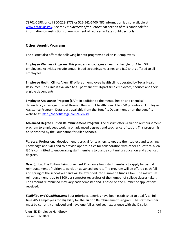78701-2698, or call 800-223-8778 or 512-542-6400. TRS information is also available at: [www.trs.texas.gov.](http://www.trs.texas.gov/) See the *Employment After Retirement* section of this handbook for information on restrictions of employment of retirees in Texas public schools.

# <span id="page-23-0"></span>**Other Benefit Programs**

The district also offers the following benefit programs to Allen ISD employees.

**Employee Wellness Program**. This program encourages a healthy lifestyle for Allen ISD employees. Activities include annual blood screenings, vaccines and B12 shots offered to all employees.

**Employee Health Clinic:** Allen ISD offers an employee health clinic operated by Texas Health Resources. The clinic is available to all permanent full/part time employees, spouses and their eligible dependents.

**Employee Assistance Program (EAP)**. In addition to the mental health and chemical dependency coverage offered through the district health plan, Allen ISD provides an Employee Assistance Program. Details are available from the Benefits Department or on the benefits website at: [http://benefits.ffga.com/allenisd.](http://benefits.ffga.com/allenisd)

**Advanced Degree Tuition Reimbursement Program**. The district offers a tuition reimbursement program to employees working on advanced degrees and teacher certification. This program is co-sponsored by the Foundation for Allen Schools.

Purpose: Professional development is crucial for teachers to update their subject and teaching knowledge and skills and to provide opportunities for collaboration with other educators. Allen ISD is committed to encouraging staff members to pursue continuing education and advanced degrees.

*Description:* The Tuition Reimbursement Program allows staff members to apply for partial reimbursement of tuition towards an advanced degree. The program will be offered each fall and spring of the school year and will be extended into summer if funds allow. The maximum reimbursement is up to \$300 per semester regardless of the number of college classes taken. The amount reimbursed may vary each semester and is based on the number of applications received.

*Eligibility and Qualifications:* Four priority categories have been established to qualify all fulltime AISD employees for eligibility for the Tuition Reimbursement Program. The staff member must be currently employed and have one full school year experience with the District.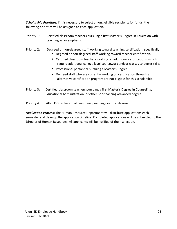*Scholarship Priorities:* If it is necessary to select among eligible recipients for funds, the following priorities will be assigned to each application.

- Priority 1: Certified classroom teachers pursuing a first Master's Degree in Education with teaching as an emphasis.
- Priority 2: Degreed or non-degreed staff working toward teaching certification, specifically:
	- **Degreed or non-degreed staff working toward teacher certification.**
	- Certified classroom teachers working on additional certifications, which require additional college level coursework and/or classes to better skills.
	- **Professional personnel pursuing a Master's Degree.**
	- Degreed staff who are currently working on certification through an alternative certification program are not eligible for this scholarship.
- Priority 3: Certified classroom teachers pursuing a first Master's Degree in Counseling, Educational Administration, or other non-teaching advanced degree.
- Priority 4: Allen ISD professional personnel pursuing doctoral degree.

*Application Process***:** The Human Resource Department will distribute applications each semester and develop the application timeline. Completed applications will be submitted to the Director of Human Resources. All applicants will be notified of their selection.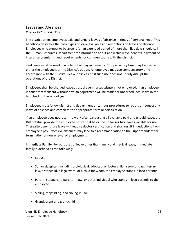#### <span id="page-25-0"></span>**Leaves and Absences**

#### *Policies DEC, DECA, DECB*

The district offers employees paid and unpaid leaves of absence in times of personal need. This handbook describes the basic types of leave available and restrictions on leaves of absence. Employees who expect to be absent for an extended period of more than five days should call the Human Resources Department for information about applicable leave benefits, payment of insurance premiums, and requirements for communicating with the district.

Paid leave must be used in whole or half day increments. Compensatory time may be used at either the employee's or the District's option. An employee may use compensatory time in accordance with the District's leave policies and if such use does not unduly disrupt the operations of the District.

Employees shall be charged leave as usual even if a substitute is not employed. If an employee is consistently absent without pay, an adjustment will be made for unearned local leave in the last check of the school year.

Employees must follow district and department or campus procedures to report or request any leave of absence and complete the appropriate form or certification.

If an employee does not return to work after exhausting all available paid and unpaid leave, the District shall provide the employee notice that he or she no longer has leave available for use. Thereafter, any future leave will require doctor certification and shall result in deductions from employee's pay. Excessive absences may lead to a recommendation to the Superintendent for termination or nonrenewal of employment.

**Immediate Family.** For purposes of leave other than family and medical leave, immediate family is defined as the following:

- Spouse
- Son or daughter, including a biological, adopted, or foster child, a son- or daughter-inlaw, a stepchild, a legal ward, or a child for whom the employee stands in loco parentis.
- Parent, stepparent, parent-in-law, or other individual who stands in loco parentis to the employee.
- Sibling, stepsibling, and sibling-in-law
- Grandparent and grandchild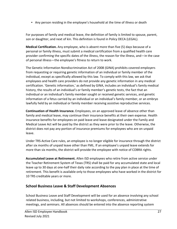• Any person residing in the employee's household at the time of illness or death

For purposes of family and medical leave, the definition of family is limited to spouse, parent, son or daughter, and next of kin. This definition is found in Policy DECA (LEGAL).

**Medical Certification.** Any employee, who is absent more than five (5) days because of a personal or family illness, must submit a medical certification from a qualified health care provider confirming the specific dates of the illness, the reason for the illness, and—in the case of personal illness—the employee's fitness to return to work.

The Genetic Information Nondiscrimination Act of 2008 (GINA) prohibits covered employers from requesting or requiring genetic information of an individual or family member of the individual, except as specifically allowed by this law. To comply with this law, we ask that employees and health care providers do not provide any genetic information in any medical certification. 'Genetic information,' as defined by GINA, includes an individual's family medical history, the results of an individual's or family member's genetic tests, the fact that an individual or an individual's family member sought or received genetic services, and genetic information of a fetus carried by an individual or an individual's family member, or an embryo lawfully held by an individual or family member receiving assistive reproductive services.

**Continuation of Health Insurance.** Employees, on an approved leave of absence other than family and medical leave, may continue their insurance benefits at their own expense. Health insurance benefits for employees on paid leave and leave designated under the Family and Medical Leave Act will be paid by the district as they were prior to the leave. Otherwise, the district does not pay any portion of insurance premiums for employees who are on unpaid leave.

Under TRS-Active Care rules, an employee is no longer eligible for insurance through the district after six months of unpaid leave other than FML. If an employee's unpaid leave extends for more than six months, the district will provide the employee with notice of COBRA rights.

**Accumulated Leave at Retirement.** Allen ISD employees who retire from active service under the Teacher Retirement System of Texas (TRS) shall be paid for any accumulated state and local leave up to 30 days at one-half their daily rate according to the pay plan in place at the time of retirement. This benefit is available only to those employees who have worked in the district for 10 TRS creditable years or more.

#### **School Business Leave & Staff Development Absences**

School Business Leave and Staff Development will be used for an absence involving any school related business, including, but not limited to workshops, conferences, administrative meetings, and seminars. All absences should be entered into the absence reporting system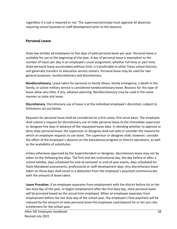regardless if a sub is required or not. The supervisor/principal must approve all absences requiring school business or staff development prior to the absence.

# <span id="page-27-0"></span>**Personal Leave**

State law entitles all employees to five days of paid personal leave per year. Personal leave is available for use at the beginning of the year. A day of personal leave is equivalent to the number of hours per day in an employee's usual assignment, whether full-time or part-time. State personal leave accumulates without limit, is transferable to other Texas school districts, and generally transfers to education service centers. Personal leave may be used for two general purposes: nondiscretionary and discretionary.

**Nondiscretionary.** Leave taken for personal or family illness, family emergency, a death in the family, or active military service is considered nondiscretionary leave. Reasons for this type of leave allow very little, if any, advance planning. Nondiscretionary may be used in the same manner as state sick leave.

**Discretionary.** Discretionary use of leave is at the individual employee's discretion, subject to limitations set out below.

Requests for personal leave shall be considered on a first come, first serve basis. The employee shall submit a request for discretionary use of state personal leave to the immediate supervisor or designee five days in advance of the requested leave date. In deciding whether to approve or deny state personal leave, the supervisor or designee shall not seek or consider the reasons for which an employee requests to use leave. The supervisor or designee shall, however, consider the effect of the employee's absence on the educational program or District operations, as well as the availability of substitutes.

Unless otherwise approved by the Superintendent or designee, discretionary leave may not be taken on the following key days: The first and last instructional day, the day before or after a school holiday, days scheduled for end-of semester or end-of year exams, days scheduled for State Mandated assessments, professional or staff development days. Any discretionary leave taken on these days shall result in a deduction from the employee's paycheck commensurate with the amount of leave taken.

**Leave Proration.** If an employee separates from employment with the district before his or her last duty day of the year, or begins employment after the first duty day, state personal leave will be prorated based on the actual time employed. When an employee separates from employment before the last duty day of the school year, the employee's final paycheck will be reduced by the amount of state personal leave the employee used beyond his or her pro rata entitlement for the school year.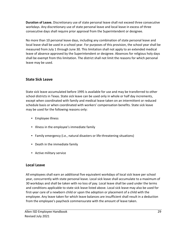**Duration of Leave.** Discretionary use of state personal leave shall not exceed three consecutive workdays. Any discretionary use of state personal leave and local leave in excess of three consecutive days shall require prior approval from the Superintendent or designee.

No more than 10 personal leave days, including any combination of state personal leave and local leave shall be used in a school year. For purposes of this provision, the school year shall be measured from July 1 through June 30. This limitation shall not apply to an extended medical leave of absence approved by the Superintendent or designee. Absences for religious holy days shall be exempt from this limitation. The district shall not limit the reasons for which personal leave may be used.

# <span id="page-28-0"></span>**State Sick Leave**

State sick leave accumulated before 1995 is available for use and may be transferred to other school districts in Texas. State sick leave can be used only in whole or half day increments, except when coordinated with family and medical leave taken on an intermittent or reduced schedule basis or when coordinated with workers' compensation benefits. State sick leave may be used for the following reasons only:

- Employee illness
- Illness in the employee's immediate family
- Family emergency (i.e., natural disasters or life-threatening situations)
- Death in the immediate family
- Active military service

# <span id="page-28-1"></span>**Local Leave**

All employees shall earn an additional five equivalent workdays of local sick leave per school year, concurrently with state personal leave. Local sick leave shall accumulate to a maximum of 30 workdays and shall be taken with no loss of pay. Local leave shall be used under the terms and conditions applicable to state sick leave listed above. Local sick leave may also be used for first-year care of a newborn child or upon the adoption or placement of a child with the employee. Any leave taken for which leave balances are insufficient shall result in a deduction from the employee's paycheck commensurate with the amount of leave taken.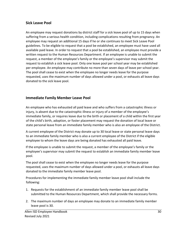## <span id="page-29-0"></span>**Sick Leave Pool**

An employee may request donations by district staff for a sick leave pool of up to 15 days when suffering from a serious health condition, including complications resulting from pregnancy. An employee may request an additional 15 days if he or she continues to meet Sick Leave Pool guidelines. To be eligible to request that a pool be established, an employee must have used all available paid leave. In order to request that a pool be established, an employee must provide a written request to the Human Resources Department. If an employee is unable to submit the request, a member of the employee's family or the employee's supervisor may submit the request to establish a sick leave pool. Only one leave pool per school year may be established per employee. An employee may contribute no more than seven days of leave per school year. The pool shall cease to exist when the employee no longer needs leave for the purpose requested, uses the maximum number of days allowed under a pool, or exhausts all leave days donated to the sick leave pool.

# <span id="page-29-1"></span>**Immediate Family Member Leave Pool**

An employee who has exhausted all paid leave and who suffers from a catastrophic illness or injury, is absent due to the catastrophic illness or injury of a member of the employee's immediate family, or requires leave due to the birth or placement of a child within the first year of the child's birth, adoption, or foster placement may request the donation of local leave or state personal leave from an immediate family member who is also an employee of the District.

A current employee of the District may donate up to 30 local leave or state personal leave days to an immediate family member who is also a current employee of the District if the eligible employee to whom the leave days are being donated has exhausted all paid leave.

If the employee is unable to submit the request, a member of the employee's family or the employee's supervisor may submit the request to establish an immediate family member leave pool.

The pool shall cease to exist when the employee no longer needs leave for the purpose requested, uses the maximum number of days allowed under a pool, or exhausts all leave days donated to the immediate family member leave pool.

Procedures for implementing the immediate family member leave pool shall include the following:

- 1. Requests for the establishment of an immediate family member leave pool shall be submitted to the Human Resources Department, which shall provide the necessary forms.
- 2. The maximum number of days an employee may donate to an immediate family member leave pool is 30.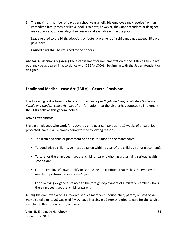- 3. The maximum number of days per school year an eligible employee may receive from an immediate family member leave pool is 30 days; however, the Superintendent or designee may approve additional days if necessary and available within the pool.
- 4. Leave related to the birth, adoption, or foster placement of a child may not exceed 30 days paid leave.
- 5. Unused days shall be returned to the donors.

*Appeal.* All decisions regarding the establishment or implementation of the District's sick leave pool may be appealed in accordance with DGBA (LOCAL), beginning with the Superintendent or designee.

# <span id="page-30-0"></span>**Family and Medical Leave Act (FMLA)—General Provisions**

The following text is from the federal notice, *Employee Rights and Responsibilities Under the Family and Medical Leave Act*. Specific information that the district has adopted to implement the FMLA follows this general notice.

#### **Leave Entitlements**

Eligible employees who work for a covered employer can take up to 12 weeks of unpaid, job protected leave in a 12-month period for the following reasons:

- The birth of a child or placement of a child for adoption or foster care;
- To bond with a child (leave must be taken within 1 year of the child's birth or placement);
- To care for the employee's spouse, child, or parent who has a qualifying serious health condition;
- For the employee's own qualifying serious health condition that makes the employee unable to perform the employee's job;
- For qualifying exigencies related to the foreign deployment of a military member who is the employee's spouse, child, or parent.

An eligible employee who is a covered service member's spouse, child, parent, or next of kin may also take up to 26 weeks of FMLA leave in a single 12-month period to care for the service member with a serious injury or illness.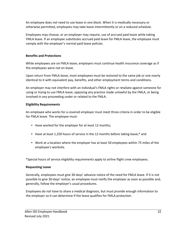An employee does not need to use leave in one block. When it is medically necessary or otherwise permitted, employees may take leave intermittently or on a reduced schedule.

Employees may choose, or an employer may require, use of accrued paid leave while taking FMLA leave. If an employee substitutes accrued paid leave for FMLA leave, the employee must comply with the employer's normal paid leave policies.

#### **Benefits and Protections**

While employees are on FMLA leave, employers must continue health insurance coverage as if the employees were not on leave.

Upon return from FMLA leave, most employees must be restored to the same job or one nearly identical to it with equivalent pay, benefits, and other employment terms and conditions.

An employer may not interfere with an individual's FMLA rights or retaliate against someone for using or trying to use FMLA leave, opposing any practice made unlawful by the FMLA, or being involved in any proceeding under or related to the FMLA.

#### **Eligibility Requirements**

An employee who works for a covered employer must meet three criteria in order to be eligible for FMLA leave. The employee must:

- Have worked for the employer for at least 12 months;
- Have at least 1,250 hours of service in the 12 months before taking leave;\* and
- Work at a location where the employer has at least 50 employees within 75 miles of the employee's worksite.

\*Special hours of service eligibility requirements apply to airline flight crew employees.

#### **Requesting Leave**

Generally, employees must give 30-days' advance notice of the need for FMLA leave. If it is not possible to give 30-days' notice, an employee must notify the employer as soon as possible and, generally, follow the employer's usual procedures.

Employees do not have to share a medical diagnosis, but must provide enough information to the employer so it can determine if the leave qualifies for FMLA protection.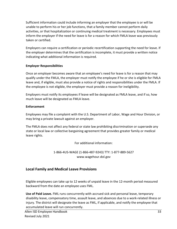Sufficient information could include informing an employer that the employee is or will be unable to perform his or her job functions, that a family member cannot perform daily activities, or that hospitalization or continuing medical treatment is necessary. Employees must inform the employer if the need for leave is for a reason for which FMLA leave was previously taken or certified.

Employers can require a certification or periodic recertification supporting the need for leave. If the employer determines that the certification is incomplete, it must provide a written notice indicating what additional information is required.

#### **Employer Responsibilities**

Once an employer becomes aware that an employee's need for leave is for a reason that may qualify under the FMLA, the employer must notify the employee if he or she is eligible for FMLA leave and, if eligible, must also provide a notice of rights and responsibilities under the FMLA. If the employee is not eligible, the employer must provide a reason for ineligibility.

Employers must notify its employees if leave will be designated as FMLA leave, and if so, how much leave will be designated as FMLA leave.

#### **Enforcement**

Employees may file a complaint with the U.S. Department of Labor, Wage and Hour Division, or may bring a private lawsuit against an employer.

The FMLA does not affect any federal or state law prohibiting discrimination or supersede any state or local law or collective bargaining agreement that provides greater family or medical leave rights.

For additional information:

1-866-4US-WAGE (1-866-487-9243) TTY: 1-877-889-5627 [www.wagehour.dol.gov](http://www.wagehour.dol.gov/) 

# <span id="page-32-0"></span>**Local Family and Medical Leave Provisions**

Eligible employees can take up to 12 weeks of unpaid leave in the 12-month period measured backward from the date an employee uses FML.

**Use of Paid Leave.** FML runs concurrently with accrued sick and personal leave, temporary disability leave, compensatory time, assault leave, and absences due to a work-related illness or injury. The district will designate the leave as FML, if applicable, and notify the employee that accumulated leave will run concurrently.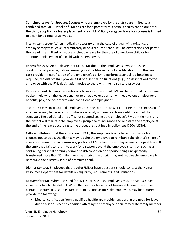**Combined Leave for Spouses.** Spouses who are employed by the district are limited to a combined total of 12 weeks of FML to care for a parent with a serious health condition; or for the birth, adoption, or foster placement of a child. Military caregiver leave for spouses is limited to a combined total of 26 weeks.

**Intermittent Leave.** When medically necessary or in the case of a qualifying exigency, an employee may take leave intermittently or on a reduced schedule. The district does not permit the use of intermittent or reduced-schedule leave for the care of a newborn child or for adoption or placement of a child with the employee.

**Fitness for Duty.** An employee that takes FML due to the employee's own serious health condition shall provide, before resuming work, a fitness-for-duty certification from the health care provider. If certification of the employee's ability to perform essential job function is required, the district shall provide a list of essential job functions (e.g., job description) to the employee with the FML designation notice to share with the health care provider.

**Reinstatement.** An employee returning to work at the end of FML will be returned to the same positon held when the leave began or to an equivalent positon with equivalent employment benefits, pay, and other terms and conditions of employment.

In certain cases, instructional employees desiring to return to work at or near the conclusion of a semester may be required to continue on family and medical leave until the end of the semester. The additional time off is not counted against the employee's FML entitlement, and the district will maintain the employees group health insurance and reinstate the employee at the end of the leave according to the procedures outlined in policy (see DECA (LEGAL)).

**Failure to Return.** If, at the expiration of FML, the employee is able to return to work but chooses not to do so, the district may require the employee to reimburse the district's share of insurance premiums paid during any portion of FML when the employee was on unpaid leave. If the employee fails to return to work for a reason beyond the employee's control, such as a continuing personal or family serious health condition or a spouse being unexpectedly transferred more than 75 miles from the district, the district may not require the employee to reimburse the district's share of premiums paid.

**District Contact.** Employees that require FML or have questions should contact the Human Resources Department for details on eligibility, requirements, and limitations.

**Request for FML.** When the need for FML is foreseeable, employees must provide 30- day advance notice to the district. When the need for leave is not foreseeable, employees must contact the Human Resources Department as soon as possible. Employees may be required to provide the following:

• Medical certification from a qualified healthcare provider supporting the need for leave due to a serious health condition affecting the employee or an immediate family member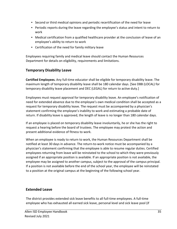- Second or third medical opinions and periodic recertification of the need for leave
- Periodic reports during the leave regarding the employee's status and intent to return to work
- Medical certification from a qualified healthcare provider at the conclusion of leave of an employee's ability to return to work
- Certification of the need for family military leave

Employees requiring family and medical leave should contact the Human Resources Department for details on eligibility, requirements and limitations.

# <span id="page-34-0"></span>**Temporary Disability Leave**

**Certified Employees.** Any full-time educator shall be eligible for temporary disability leave. The maximum length of temporary disability leave shall be 180 calendar days. [See DBB (LOCAL) for temporary disability leave placement and DEC (LEGAL) for return to active duty.]

Employees must request approval for temporary disability leave. An employee's notification of need for extended absence due to the employee's own medical condition shall be accepted as a request for temporary disability leave. The request must be accompanied by a physician's statement confirming the employee's inability to work and estimating a probable date of return. If disability leave is approved, the length of leave is no longer than 180 calendar days.

If an employee is placed on temporary disability leave involuntarily, he or she has the right to request a hearing before the board of trustees. The employee may protest the action and present additional evidence of fitness to work.

When an employee is ready to return to work, the Human Resources Department shall be notified at least 30 days in advance. The return-to-work notice must be accompanied by a physician's statement confirming that the employee is able to resume regular duties. Certified employees returning from leave will be reinstated to the school to which they were previously assigned if an appropriate position is available. If an appropriate position is not available, the employee may be assigned to another campus, subject to the approval of the campus principal. If a position is not available before the end of the school year, the employee will be reinstated to a position at the original campus at the beginning of the following school year.

# **Extended Leave**

The district provides extended sick leave benefits to all full-time employees. A full-time employee who has exhausted all earned sick leave, personal level and sick leave pool (if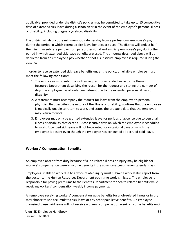applicable) provided under the district's policies may be permitted to take up to 15 consecutive days of extended sick leave during a school year in the event of the employee's personal illness or disability, including pregnancy-related disability.

The district will deduct the minimum sub rate per day from a professional employee's pay during the period in which extended sick leave benefits are used. The district will deduct half the minimum sub rate per day from paraprofessional and auxiliary employee's pay during the period in which extended sick leave benefits are used. The amounts described above will be deducted from an employee's pay whether or not a substitute employee is required during the absence.

In order to receive extended sick leave benefits under the policy, an eligible employee must meet the following conditions:

- 1. The employee must submit a written request for extended leave to the Human Resource Department describing the reason for the request and stating the number of days the employee has already been absent due to the extended personal illness or disability.
- 2. A statement must accompany the request for leave from the employee's personal physician that describes the nature of the illness or disability, confirms that the employee is medically unable to return to work, and states the probable date that the employee may return to work.
- 3. Employees may only be granted extended leave for periods of absence due to personal illness or disability that exceed 10 consecutive days on which the employee is scheduled to work. Extended sick leave will not be granted for occasional days on which the employee is absent even though the employee has exhausted all accrued paid leave.

# <span id="page-35-0"></span>**Workers' Compensation Benefits**

An employee absent from duty because of a job-related illness or injury may be eligible for workers' compensation weekly income benefits if the absence exceeds seven calendar days.

Employees unable to work due to a work-related injury must submit a work status report from the doctor to the Human Resources Department each time work is missed. The employee is responsible for paying premiums to the Benefits Department for health related benefits while receiving workers' compensation weekly income payments.

An employee receiving workers' compensation wage benefits for a job-related illness or injury may choose to use accumulated sick leave or any other paid leave benefits. An employee choosing to use paid leave will not receive workers' compensation weekly income benefits until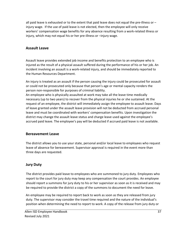all paid leave is exhausted or to the extent that paid leave does not equal the pre-illness or – injury wage. If the use of paid leave is not elected, then the employee will only receive workers' compensation wage benefits for any absence resulting from a work-related illness or injury, which may not equal his or her pre-illness or –injury wage.

## **Assault Leave**

Assault leave provides extended job income and benefits protection to an employee who is injured as the result of a physical assault suffered during the performance of his or her job. An incident involving an assault is a work-related injury, and should be immediately reported to the Human Resources Department.

An injury is treated as an assault if the person causing the injury could be prosecuted for assault or could not be prosecuted only because that person's age or mental capacity renders the person non-responsible for purposes of criminal liability.

An employee who is physically assaulted at work may take all the leave time medically necessary (up to two years) to recover from the physical injuries he or she sustained. At the request of an employee, the district will immediately assign the employee to assault leave. Days of leave granted under the assault leave provision will not be deducted from accrued personal leave and must be coordinated with workers' compensation benefits. Upon investigation the district may change the assault leave status and charge leave used against the employee's accrued paid leave. The employee's pay will be deducted if accrued paid leave is not available.

#### **Bereavement Leave**

The district allows you to use your state, personal and/or local leave to employees who request leave of absence for bereavement. Supervisor approval is required in the event more than three days are requested.

## **Jury Duty**

The district provides paid leave to employees who are summoned to jury duty. Employees who report to the court for jury duty may keep any compensation the court provides. An employee should report a summons for jury duty to his or her supervisor as soon as it is received and may be required to provide the district a copy of the summons to document the need for leave.

An employee may be required to report back to work as soon as they are released from jury duty. The supervisor may consider the travel time required and the nature of the individual's position when determining the need to report to work. A copy of the release from jury duty or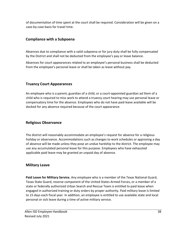of documentation of time spent at the court shall be required. Consideration will be given on a case-by-case basis for travel time.

## **Compliance with a Subpoena**

Absences due to compliance with a valid subpoena or for jury duty shall be fully compensated by the District and shall not be deducted from the employee's pay or leave balance.

Absences for court appearances related to an employee's personal business shall be deducted from the employee's personal leave or shall be taken as leave without pay.

## **Truancy Court Appearances**

An employee who is a parent, guardian of a child, or a court-appointed guardian ad litem of a child who is required to miss work to attend a truancy court hearing may use personal leave or compensatory time for the absence. Employees who do not have paid leave available will be docked for any absence required because of the court appearance.

## **Religious Observance**

The district will reasonably accommodate an employee's request for absence for a religious holiday or observance. Accommodations such as changes to work schedules or approving a day of absence will be made unless they pose an undue hardship to the district. The employee may use any accumulated personal leave for this purpose. Employees who have exhausted applicable paid leave may be granted an unpaid day of absence.

## **Military Leave**

**Paid Leave for Military Service.** Any employee who is a member of the Texas National Guard, Texas State Guard, reserve component of the United States Armed Forces, or a member of a state or federally authorized Urban Search and Rescue Team is entitled to paid leave when engaged in authorized training or duty orders by proper authority. Paid military leave is limited to 15 days each fiscal year. In addition, an employee is entitled to use available state and local personal or sick leave during a time of active military service.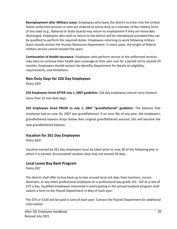**Reemployment after Military Leave.** Employees who leave the district to enter into the United States uniformed services or who are ordered to active duty as a member of the military force of any state (e.g., National or State Guard) may return to employment if they are honorably discharged. Employees who wish to return to the district will be reemployed provided they can be qualified to perform the required duties. Employees returning to work following military leave should contact the Human Resources Department. In most cases, the length of federal military service cannot exceed five years.

**Continuation of Health Insurance.** Employees who perform service in the uniformed services may elect to continue their health plan coverage at their own cost for a period not to exceed 24 months. Employees should contact the Benefits Department for details on eligibility, requirements, and limitations.

#### **Non-Duty Days for 226 Day Employees**

*Policy DED* 

**226 Employees hired AFTER July 1, 2007 guideline:** 226 day employees cannot carry forward more than 15 non-duty days.

**226 Employees hired PRIOR to July 1, 2007 "grandfathered" guideline:** The balance that employee had on June 30, 2007 was grandfathered. If on June 30th of any year, the employee's grandfathered balance drops below their original grandfathered amount, this will become the new grandfathered balance.

## **Vacation for 261 Day Employees**

*Policy DED* 

Vacation earned by 261 day employees must be taken prior to June 30 of the following year in which it is earned. Accumulated vacation days may not exceed 20 days.

## **Local Leave Buy Back Program**

*Policy DEC* 

The district shall offer to buy back up to two unused local sick days from teachers, nurses, librarians, or any other professional employee on a professional pay grade 101- 102 at a rate of \$75 a day. Qualified employees interested in participating in the annual buyback program shall submit a form to the Payroll Department in May of each year.

The \$75 or \$150 will be paid in June of each year. Contact the Payroll Department for additional information.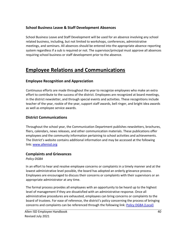## **School Business Leave & Staff Development Absences**

School Business Leave and Staff Development will be used for an absence involving any school related business, including, but not limited to workshops, conferences, administrative meetings, and seminars. All absences should be entered into the appropriate absence reporting system regardless if a sub is required or not. The supervisor/principal must approve all absences requiring school business or staff development prior to the absence.

## **Employee Relations and Communications**

## **Employee Recognition and Appreciation**

Continuous efforts are made throughout the year to recognize employees who make an extra effort to contribute to the success of the district. Employees are recognized at board meetings, in the district newsletter, and through special events and activities. These recognitions include teacher of the year, rookie of the year, support staff awards, bell ringer, and bright idea awards as well as employee service awards.

## **District Communications**

Throughout the school year, the Communication Department publishes newsletters, brochures, fliers, calendars, news releases, and other communication materials. These publications offer employees and the community information pertaining to school activities and achievements. The District's website contains additional information and may be accessed at the following link: [www.allenisd.org](http://www.allenisd.org/)

#### **Complaints and Grievances**

*Policy DGBA* 

In an effort to hear and resolve employee concerns or complaints in a timely manner and at the lowest administrative level possible, the board has adopted an orderly grievance process. Employees are encouraged to discuss their concerns or complaints with their supervisors or an appropriate administrator at any time.

The formal process provides all employees with an opportunity to be heard up to the highest level of management if they are dissatisfied with an administrative response. Once all administrative procedures are exhausted, employees can bring concerns or complaints to the board of trustees. For ease of reference, the district's policy concerning the process of bringing concerns and complaints can be referenced through the following link[: Policy DGBA \(Local\)](https://pol.tasb.org/Policy/Download/305?filename=DGBA(LOCAL).html&title=PERSONNEL-MANAGEMENT%20RELATIONS&subtitle=EMPLOYEE%20COMPLAINTS/GRIEVANCES)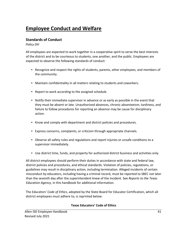# **Employee Conduct and Welfare**

## **Standards of Conduct**

*Policy DH* 

All employees are expected to work together in a cooperative spirit to serve the best interests of the district and to be courteous to students, one another, and the public. Employees are expected to observe the following standards of conduct:

- Recognize and respect the rights of students, parents, other employees, and members of the community.
- Maintain confidentiality in all matters relating to students and coworkers.
- Report to work according to the assigned schedule.
- Notify their immediate supervisor in advance or as early as possible in the event that they must be absent or late. Unauthorized absences, chronic absenteeism, tardiness, and failure to follow procedures for reporting an absence may be cause for disciplinary action.
- Know and comply with department and district policies and procedures.
- Express concerns, complaints, or criticism through appropriate channels.
- Observe all safety rules and regulations and report injuries or unsafe conditions to a supervisor immediately.
- Use district time, funds, and property for authorized district business and activities only.

All district employees should perform their duties in accordance with state and federal law, district policies and procedures, and ethical standards. Violation of policies, regulations, or guidelines may result in disciplinary action, including termination. Alleged incidents of certain misconduct by educators, including having a criminal record, must be reported to SBEC not later than the seventh day after the superintendent knew of the incident. See *Reports to the Texas Education Agency,* in this handbook for additional information.

The *Educators' Code of Ethics*, adopted by the State Board for Educator Certification, which all district employees must adhere to, is reprinted below:

#### **Texas Educators' Code of Ethics**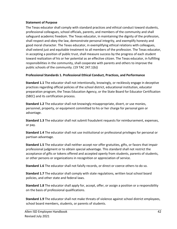#### **Statement of Purpose**

The Texas educator shall comply with standard practices and ethical conduct toward students, professional colleagues, school officials, parents, and members of the community and shall safeguard academic freedom. The Texas educator, in maintaining the dignity of the profession, shall respect and obey the law, demonstrate personal integrity, and exemplify honesty and good moral character. The Texas educator, in exemplifying ethical relations with colleagues, shall extend just and equitable treatment to all members of the profession. The Texas educator, in accepting a position of public trust, shall measure success by the progress of each student toward realization of his or her potential as an effective citizen. The Texas educator, in fulfilling responsibilities in the community, shall cooperate with parents and others to improve the public schools of the community. (19 TAC 247.1(b))

#### **Professional Standards 1. Professional Ethical Conduct, Practices, and Performance**

**Standard 1.1** The educator shall not intentionally, knowingly, or recklessly engage in deceptive practices regarding official policies of the school district, educational institution, educator preparation program, the Texas Education Agency, or the State Board for Educator Certification (SBEC) and its certification process.

**Standard 1.2** The educator shall not knowingly misappropriate, divert, or use monies, personnel, property, or equipment committed to his or her charge for personal gain or advantage.

**Standard 1.3** The educator shall not submit fraudulent requests for reimbursement, expenses, or pay.

**Standard 1.4** The educator shall not use institutional or professional privileges for personal or partisan advantage.

**Standard 1.5** The educator shall neither accept nor offer gratuities, gifts, or favors that impair professional judgment or to obtain special advantage. This standard shall not restrict the acceptance of gifts or tokens offered and accepted openly from students, parents of students, or other persons or organizations in recognition or appreciation of service.

**Standard 1.6** The educator shall not falsify records, or direct or coerce others to do so.

**Standard 1.7** The educator shall comply with state regulations, written local school board policies, and other state and federal laws.

**Standard 1.8** The educator shall apply for, accept, offer, or assign a position or a responsibility on the basis of professional qualifications.

**Standard 1.9** The educator shall not make threats of violence against school district employees, school board members, students, or parents of students.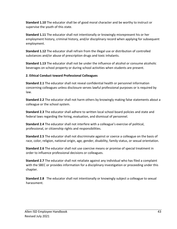**Standard 1.10** The educator shall be of good moral character and be worthy to instruct or supervise the youth of this state.

**Standard 1.11** The educator shall not intentionally or knowingly misrepresent his or her employment history, criminal history, and/or disciplinary record when applying for subsequent employment.

**Standard 1.12** The educator shall refrain from the illegal use or distribution of controlled substances and/or abuse of prescription drugs and toxic inhalants.

**Standard 1.13** The educator shall not be under the influence of alcohol or consume alcoholic beverages on school property or during school activities when students are present.

#### **2. Ethical Conduct toward Professional Colleagues**

**Standard 2.1** The educator shall not reveal confidential health or personnel information concerning colleagues unless disclosure serves lawful professional purposes or is required by law.

**Standard 2.2** The educator shall not harm others by knowingly making false statements about a colleague or the school system.

**Standard 2.3** The educator shall adhere to written local school board policies and state and federal laws regarding the hiring, evaluation, and dismissal of personnel.

**Standard 2.4** The educator shall not interfere with a colleague's exercise of political, professional, or citizenship rights and responsibilities.

**Standard 2.5** The educator shall not discriminate against or coerce a colleague on the basis of race, color, religion, national origin, age, gender, disability, family status, or sexual orientation.

**Standard 2.6** The educator shall not use coercive means or promise of special treatment in order to influence professional decisions or colleagues.

**Standard 2.7** The educator shall not retaliate against any individual who has filed a complaint with the SBEC or provides information for a disciplinary investigation or proceeding under this chapter.

**Standard 2.8** The educator shall not intentionally or knowingly subject a colleague to sexual harassment.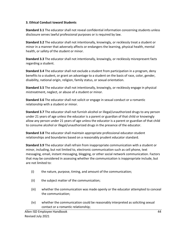#### **3. Ethical Conduct toward Students**

**Standard 3.1** The educator shall not reveal confidential information concerning students unless disclosure serves lawful professional purposes or is required by law.

**Standard 3.2** The educator shall not intentionally, knowingly, or recklessly treat a student or minor in a manner that adversely affects or endangers the learning, physical health, mental health, or safety of the student or minor.

**Standard 3.3** The educator shall not intentionally, knowingly, or recklessly misrepresent facts regarding a student.

**Standard 3.4** The educator shall not exclude a student from participation in a program, deny benefits to a student, or grant an advantage to a student on the basis of race, color, gender, disability, national origin, religion, family status, or sexual orientation.

**Standard 3.5** The educator shall not intentionally, knowingly, or recklessly engage in physical mistreatment, neglect, or abuse of a student or minor.

**Standard 3.6** The educator shall not solicit or engage in sexual conduct or a romantic relationship with a student or minor.

**Standard 3.7** The educator shall not furnish alcohol or illegal/unauthorized drugs to any person under 21 years of age unless the educator is a parent or guardian of that child or knowingly allow any person under 21 years of age unless the educator is a parent or guardian of that child to consume alcohol or illegal/unauthorized drugs in the presence of the educator.

**Standard 3.8** The educator shall maintain appropriate professional educator-student relationships and boundaries based on a reasonably prudent educator standard.

**Standard 3.9** The educator shall refrain from inappropriate communication with a student or minor, including, but not limited to, electronic communication such as cell phone, text messaging, email, instant messaging, blogging, or other social network communication. Factors that may be considered in assessing whether the communication is inappropriate include, but are not limited to:

- (i) the nature, purpose, timing, and amount of the communication;
- (ii) the subject matter of the communication;
- (iii) whether the communication was made openly or the educator attempted to conceal the communication;
- (iv) whether the communication could be reasonably interpreted as soliciting sexual contact or a romantic relationship;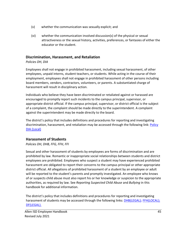- (v) whether the communication was sexually explicit; and
- (vi) whether the communication involved discussion(s) of the physical or sexual attractiveness or the sexual history, activities, preferences, or fantasies of either the educator or the student.

## **Discrimination, Harassment, and Retaliation**

## *Policies DH, DIA*

Employees shall not engage in prohibited harassment, including sexual harassment, of other employees, unpaid interns, student teachers, or students. While acting in the course of their employment, employees shall not engage in prohibited harassment of other persons including board members, vendors, contractors, volunteers, or parents. A substantiated charge of harassment will result in disciplinary action.

Individuals who believe they have been discriminated or retaliated against or harassed are encouraged to promptly report such incidents to the campus principal, supervisor, or appropriate district official. If the campus principal, supervisor, or district official is the subject of a complaint, the complaint should be made directly to the superintendent. A complaint against the superintendent may be made directly to the board.

The district's policy that includes definitions and procedures for reporting and investigating discrimination, harassment, and retaliation may be accessed through the following link: [Policy](https://pol.tasb.org/Policy/Download/305?filename=DIA(LOCAL).html&title=EMPLOYEE%20WELFARE&subtitle=FREEDOM%20FROM%20DISCRIMINATION,%20HARASSMENT,%20AND%20RETALIATION) [DIA \(Local\)](https://pol.tasb.org/Policy/Download/305?filename=DIA(LOCAL).html&title=EMPLOYEE%20WELFARE&subtitle=FREEDOM%20FROM%20DISCRIMINATION,%20HARASSMENT,%20AND%20RETALIATION)

## **Harassment of Students**

## *Policies DH, DHB, FFG, FFH, FFI*

Sexual and other harassment of students by employees are forms of discrimination and are prohibited by law. Romantic or inappropriate social relationships between students and district employees are prohibited. Employees who suspect a student may have experienced prohibited harassment are obligated to report their concerns to the campus principal or other appropriate district official. All allegations of prohibited harassment of a student by an employee or adult will be reported to the student's parents and promptly investigated. An employee who knows of or suspects child abuse must also report his or her knowledge or suspicion to the appropriate authorities, as required by law. See *Reporting Suspected Child Abuse* and *Bullying* in this handbook for additional information.

The district's policy that includes definitions and procedures for reporting and investigating harassment of students may be accessed through the following links[: DHB\(LEGAL\);](https://pol.tasb.org/Policy/Download/305?filename=DHB(LEGAL).html&title=EMPLOYEE%20STANDARDS%20OF%20CONDUCT&subtitle=REPORTS%20TO%20STATE%20BOARD%20FOR%20EDUCATOR%20CERTIFICATION) [FFH\(LOCAL\);](https://pol.tasb.org/Policy/Download/305?filename=FFH(LOCAL).html&title=STUDENT%20WELFARE&subtitle=FREEDOM%20FROM%20DISCRIMINATION,%20HARASSMENT,%20AND%20RETALIATION) [DF\(LEGAL\).](https://pol.tasb.org/Policy/Download/305?filename=DF(LOCAL).html&title=TERMINATION%20OF%20EMPLOYMENT&subtitle=)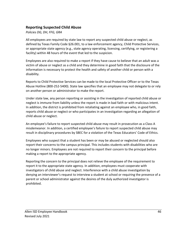## **Reporting Suspected Child Abuse**

#### *Policies DG, DH, FFG, GRA*

All employees are required by state law to report any suspected child abuse or neglect, as defined by Texas Family Code §26.001, to a law enforcement agency, Child Protective Services, or appropriate state agency (e.g., state agency operating, licensing, certifying, or registering a facility) within 48 hours of the event that led to the suspicion.

Employees are also required to make a report if they have cause to believe that an adult was a victim of abuse or neglect as a child and they determine in good faith that the disclosure of the information is necessary to protect the health and safety of another child or person with a disability.

Reports to Child Protective Services can be made to the local Protective Officer or to the Texas Abuse Hotline (800-252-5400). State law specifies that an employee may not delegate to or rely on another person or administrator to make the report.

Under state law, any person reporting or assisting in the investigation of reported child abuse or neglect is immune from liability unless the report is made in bad faith or with malicious intent. In addition, the district is prohibited from retaliating against an employee who, in good faith, reports child abuse or neglect or who participates in an investigation regarding an allegation of child abuse or neglect.

An employee's failure to report suspected child abuse may result in prosecution as a Class A misdemeanor. In addition, a certified employee's failure to report suspected child abuse may result in disciplinary procedures by SBEC for a violation of the Texas Educators' Code of Ethics.

Employees who suspect that a student has been or may be abused or neglected should also report their concerns to the campus principal. This includes students with disabilities who are no longer minors. Employees are not required to report their concern to the principal before making a report to the appropriate agency.

Reporting the concern to the principal does not relieve the employee of the requirement to report it to the appropriate state agency. In addition, employees must cooperate with investigators of child abuse and neglect. Interference with a child abuse investigation by denying an interviewer's request to interview a student at school or requiring the presence of a parent or school administrator against the desires of the duly authorized investigator is prohibited.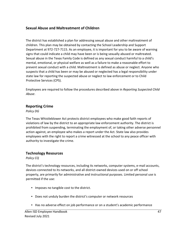## **Sexual Abuse and Maltreatment of Children**

The district has established a plan for addressing sexual abuse and other maltreatment of children. This plan may be obtained by contacting the School Leadership and Support Department at 972-727-7115. As an employee, it is important for you to be aware of warning signs that could indicate a child may have been or is being sexually abused or maltreated. Sexual abuse in the Texas Family Code is defined as any sexual conduct harmful to a child's mental, emotional, or physical welfare as well as a failure to make a reasonable effort to prevent sexual conduct with a child. Maltreatment is defined as abuse or neglect. Anyone who suspects that a child has been or may be abused or neglected has a legal responsibility under state law for reporting the suspected abuse or neglect to law enforcement or to Child Protective Services (CPS).

Employees are required to follow the procedures described above in *Reporting Suspected Child Abuse*.

#### **Reporting Crime**

*Policy DG* 

The Texas Whistleblower Act protects district employees who make good faith reports of violations of law by the district to an appropriate law enforcement authority. The district is prohibited from suspending, terminating the employment of, or taking other adverse personnel action against, an employee who makes a report under the Act. State law also provides employees with the right to report a crime witnessed at the school to any peace officer with authority to investigate the crime.

## **Technology Resources**

*Policy CQ* 

The district's technology resources, including its networks, computer systems, e-mail accounts, devices connected to its networks, and all district-owned devices used on or off school property, are primarily for administrative and instructional purposes. Limited personal use is permitted if the use:

- Imposes no tangible cost to the district.
- Does not unduly burden the district's computer or network resources
- Has no adverse effect on job performance or on a student's academic performance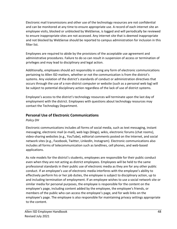Electronic mail transmissions and other use of the technology resources are not confidential and can be monitored at any time to ensure appropriate use. A record of each internet site an employee visits, blocked or unblocked by WebSense, is logged and will periodically be reviewed to ensure inappropriate sites are not accessed. Any internet site that is deemed inappropriate and not blocked by WebSense should be reported to campus administration for inclusion in this filter list.

Employees are required to abide by the provisions of the acceptable use agreement and administrative procedures. Failure to do so can result in suspension of access or termination of privileges and may lead to disciplinary and legal action.

Additionally, employees should act responsibly in using any form of electronic communications pertaining to Allen ISD matters, whether or not the communication is from the district's systems. Any violation of the district's standards of conduct or administration directives that occurs through the use of a non-district computer or website (such as a personal web log) will be subject to potential disciplinary action regardless of the lack of use of district systems.

Employee's access to the district's technology resources will terminate upon the last day of employment with the district. Employees with questions about technology resources may contact the Technology Department.

## **Personal Use of Electronic Communications**

*Policy DH* 

Electronic communications includes all forms of social media, such as text messaging, instant messaging, electronic mail (e-mail), web logs (blogs), wikis, electronic forums (chat rooms), video-sharing websites (e.g., YouTube), editorial comments posted on the Internet, and social network sites (e.g., Facebook, Twitter, LinkedIn, Instagram). Electronic communications also includes all forms of telecommunication such as landlines, cell phones, and web-based applications.

As role models for the district's students, employees are responsible for their public conduct even when they are not acting as district employees. Employees will be held to the same professional standards in their public use of electronic media as they are for any other public conduct. If an employee's use of electronic media interferes with the employee's ability to effectively perform his or her job duties, the employee is subject to disciplinary action, up to and including termination of employment. If an employee wishes to use a social network site or similar media for personal purposes, the employee is responsible for the content on the employee's page, including content added by the employee, the employee's friends, or members of the public who can access the employee's page, and for web links on the employee's page. The employee is also responsible for maintaining privacy settings appropriate to the content.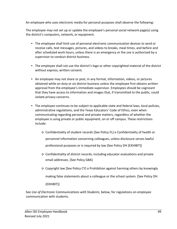An employee who uses electronic media for personal purposes shall observe the following:

The employee may not set up or update the employee's personal social network page(s) using the district's computers, network, or equipment.

- The employee shall limit use of personal electronic communication devices to send or receive calls, text messages, pictures, and videos to breaks, meal times, and before and after scheduled work hours, unless there is an emergency or the use is authorized by a supervisor to conduct district business.
- The employee shall not use the district's logo or other copyrighted material of the district without express, written consent.
- An employee may not share or post, in any format, information, videos, or pictures obtained while on duty or on district business unless the employee first obtains written approval from the employee's immediate supervisor. Employees should be cognizant that they have access to information and images that, if transmitted to the public, could violate privacy concerns.
- The employee continues to be subject to applicable state and federal laws, local policies, administrative regulations, and the Texas Educators' Code of Ethics, even when communicating regarding personal and private matters, regardless of whether the employee is using private or public equipment, on or off campus. These restrictions include:
	- o Confidentiality of student records [See Policy FL] o Confidentiality of health or personnel information concerning colleagues, unless disclosure serves lawful professional purposes or is required by law [See Policy DH (EXHIBIT)]
	- o Confidentiality of district records, including educator evaluations and private email addresses. [See Policy GBA]
	- o Copyright law [See Policy CY] o Prohibition against harming others by knowingly making false statements about a colleague or the school system. [See Policy DH

(EXHIBIT)]

See *Use of Electronic Communications with Students*, below, for regulations on employee communication with students.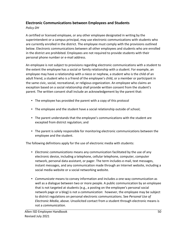## **Electronic Communications between Employees and Students**

#### *Policy DH*

A certified or licensed employee, or any other employee designated in writing by the superintendent or a campus principal, may use electronic communications with students who are currently enrolled in the district. The employee must comply with the provisions outlined below. Electronic communications between all other employees and students who are enrolled in the district are prohibited. Employees are not required to provide students with their personal phone number or e-mail address.

An employee is not subject to provisions regarding electronic communications with a student to the extent the employee has a social or family relationship with a student. For example, an employee may have a relationship with a niece or nephew, a student who is the child of an adult friend, a student who is a friend of the employee's child, or a member or participant in the same civic, social, recreational, or religious organization. An employee who claims an exception based on a social relationship shall provide written consent from the student's parent. The written consent shall include an acknowledgement by the parent that:

- The employee has provided the parent with a copy of this protocol
- The employee and the student have a social relationship outside of school;
- The parent understands that the employee's communications with the student are excepted from district regulation; and
- The parent is solely responsible for monitoring electronic communications between the employee and the student.

The following definitions apply for the use of electronic media with students:

- *Electronic communications* means any communication facilitated by the use of any electronic device, including a telephone, cellular telephone, computer, computer network, personal data assistant, or pager. The term includes e-mail, text messages, instant messages, and any communication made through an Internet website, including a social media website or a social networking website.
- *Communicate* means to convey information and includes a one-way communication as well as a dialogue between two or more people. A public communication by an employee that is not targeted at students (e.g., a posting on the employee's personal social network page or a blog) is not a *communication*: however, the employee may be subject to district regulations on personal electronic communications. See *Personal Use of Electronic Media*, above. Unsolicited contact from a student through electronic means is not a *communication*.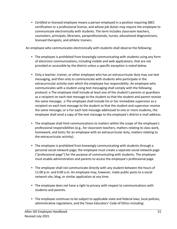• *Certified or licensed employee* means a person employed in a position requiring SBEC certification or a professional license, and whose job duties may require the employee to communicate electronically with students. The term includes classroom teachers, counselors, principals, librarians, paraprofessionals, nurses, educational diagnosticians, licensed therapists, and athletic trainers.

An employee who communicates electronically with students shall observe the following:

- The employee is prohibited from knowingly communicating with students using any form of electronic communications, including mobile and web applications, that are not provided or accessible by the district unless a specific exception is noted below.
- Only a teacher, trainer, or other employee who has an extracurricular duty may use text messaging, and then only to communicate with students who participate in the extracurricular activity over which the employee has responsibility. An employee who communicates with a student using text messaging shall comply with the following protocol: o The employee shall include at least one of the student's parents or guardians as a recipient on each text message to the student so that the student and parent receive the same message; o The employee shall include his or her immediate supervisor as a recipient on each text message to the student so that the student and supervisor receive the same message; or o For each text message addressed to one or more students, the employee shall send a copy of the text message to the employee's district e-mail address.
- The employee shall limit communications to matters within the scope of the employee's professional responsibilities (e.g., for classroom teachers, matters relating to class work, homework, and tests; for an employee with an extracurricular duty, matters relating to the extracurricular activity).
- The employee is prohibited from knowingly communicating with students through a personal social network page; the employee must create a separate social network page ("professional page") for the purpose of communicating with students. The employee must enable administration and parents to access the employee's professional page.
- The employee shall not communicate directly with any student between the hours of 11:00 p.m. and 6:00 a.m. An employee may, however, make public posts to a social network site, blog, or similar application at any time.
- The employee does not have a right to privacy with respect to communications with students and parents.
- The employee continues to be subject to applicable state and federal laws, local policies, administrative regulations, and the Texas Educators' Code of Ethics including: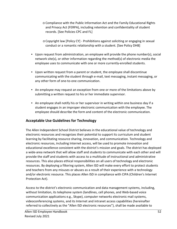- o Compliance with the Public Information Act and the Family Educational Rights and Privacy Act (FERPA), including retention and confidentiality of student records. [See Policies CPC and FL]
- o Copyright law [Policy CY] Prohibitions against soliciting or engaging in sexual conduct or a romantic relationship with a student. [See Policy DHB]
- Upon request from administration, an employee will provide the phone number(s), social network site(s), or other information regarding the method(s) of electronic media the employee uses to communicate with one or more currently-enrolled students.
- Upon written request from a parent or student, the employee shall discontinue communicating with the student through e-mail, text messaging, instant messaging, or any other form of one-to-one communication.
- An employee may request an exception from one or more of the limitations above by submitting a written request to his or her immediate supervisor.
- An employee shall notify his or her supervisor in writing within one business day if a student engages in an improper electronic communication with the employee. The employee should describe the form and content of the electronic communication.

## **Acceptable Use Guidelines for Technology**

The Allen Independent School District believes in the educational value of technology and electronic resources and recognizes their potential to support its curriculum and student learning by facilitating resource sharing, innovation, and communication. Technology and electronic resources, including Internet access, will be used to promote innovation and educational excellence consistent with the district's mission and goals. The district has deployed a wide-area network that will allow staff and students to communicate with each other and will provide the staff and students with access to a multitude of instructional and administrative resources. This also places ethical responsibilities on all users of technology and electronic resources. By deploying a filtering system, Allen ISD will make every effort to protect students and teachers from any misuses or abuses as a result of their experience with a technology and/or electronic resource. This places Allen ISD in compliance with CIPA (Children's Internet Protection Act).

Access to the district's electronic communication and data management systems, including, without limitation, its telephone system (landlines, cell phones, and Web-based voice communication applications e.g., Skype), computer networks electronic mail systems, videoconferencing systems, and its Internet and intranet access capabilities (hereinafter referred to collectively as the "Allen ISD electronic resources"), shall be made available to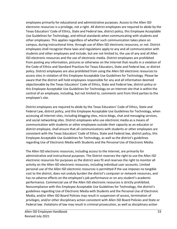employees primarily for educational and administrative purposes. Access to the Allen ISD electronic resources is a privilege, not a right. All district employees are required to abide by the Texas Educators' Code of Ethics, State and Federal law, district policy, this Employee Acceptable Use Guidelines for Technology, and ethical standards when communicating with students and other employees. This applies regardless of whether such communication takes place on campus, during instructional time, through use of Allen ISD electronic resources, or not. District employees shall recognize these laws and regulations apply to any and all communication with students and other employees and include, but are not limited to, the use of any and all Allen ISD electronic resources and the use of electronic media. District employees are prohibited from posting any information, pictures or otherwise on the Internet that results in a violation of the Code of Ethics and Standard Practices for Texas Educators, State and Federal law, or district policy. District employees are also prohibited from using the Allen ISD electronic resources to access sites in violation of this Employee Acceptable Use Guidelines for Technology. Please be aware that the district will hold employees responsible for any and all information deemed objectionable by the Texas Educators' Code of Ethics, State and Federal law, district policy or this Employee Acceptable Use Guidelines for Technology on an Internet site that is within the control of an employee, including, but not limited to, comments sent from third parties to the employee's site.

District employees are required to abide by the Texas Educators' Code of Ethics, State and Federal Law, district policy, and this Employee Acceptable Use Guidelines for Technology, when accessing all Internet sites, including blogging sites, micro-blogs, chat and messaging services, and social networking sites. District employees who use electronic media as a means of communication with students or other employees outside their capacity as an educator or district employee, shall ensure that all communications with students or other employees are consistent with the Texas Educators' Code of Ethics, State and Federal law, district policy, this Employee Acceptable Use Guidelines for Technology, as well as the district's guidelines regarding Use of Electronic Media with Students and the Personal Use of Electronic Media.

The Allen ISD electronic resources, including access to the Internet, are primarily for administrative and instructional purposes. The District reserves the right to use the Allen ISD electronic resources for purposes as the district sees fit and reserves the right to monitor all activity on the Allen ISD electronic resources, including individual user accounts. Limited personal use of the Allen ISD electronic resources is permitted if the use imposes no tangible cost to the district, does not unduly burden the district's computer or network resources, and has no adverse effects on the employee's job performance or on any student's academic performance. Commercial use of the Allen ISD electronic resources is strictly prohibited. Noncompliance with this Employee Acceptable Use Guidelines for Technology, the district's guidelines regarding Use of Electronic Media with Students and the Personal Use of Electronic Media, and/or Allen ISD Board Policies may result in suspension of access, termination of privileges, and/or other disciplinary action consistent with Allen ISD Board Policies and State or Federal law. Violations of law may result in criminal prosecution, as well as disciplinary action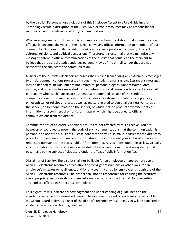by the district. Persons whose violations of this Employee Acceptable Use Guidelines for Technology result in disruption of the Allen ISD electronic resources may be responsible for reimbursement of costs incurred in system restoration.

Whenever anyone transmits an official communication from the district, that communication effectively becomes the voice of the district, conveying official information to members of our community. Our community consists of a widely diverse population from many different cultures, religions, and political persuasions. Therefore, it is essential that we minimize any message content in official communications of the district that could lead the recipient to believe that the school district endorses personal views of the e-mail sender that are not relevant to the subject of the communication.

All users of the district's electronic resources shall refrain from adding any extraneous messages to official communications processed through the district's email system. Extraneous messages may be defined to include, but are not limited to, personal slogans, unnecessary quotes, mottos, and other matters unrelated to the content of official correspondence sent via e-mail, particularly when such matters are automatically appended to each of the sender's communications. This directive specifically includes any extraneous material of a political, philosophical, or religious nature, as well as matters related to personal business ventures of the sender, or someone related to the sender, or which include product advertisements or information of a commercial or for- profit nature, which might be added to official communications from the district.

Communications of an entirely personal nature are not affected by this directive. You are; however, encouraged to note in the body of such communications that the communication is personal and not official business. Please note that this will also make it easier for the district to protect your personal communications from disclosure in the event your archived emails are requested pursuant to the Texas Public Information Act. As you know, under Texas law, virtually any information which is contained on the district's electronic communication system could potentially be the subject of disclosure under the Texas Public Information Act.

Disclaimer of Liability: The district shall not be liable for an employee's inappropriate use of Allen ISD electronic resources or violations of copyright restrictions or other laws; for an employee's mistakes or negligence; and for any costs incurred by employees through use of the Allen ISD electronic resources. The district shall not be responsible for ensuring the accuracy, age appropriateness, or usability of any information found on the Internet. No warranties of any kind are offered either express or implied.

Your signature will indicate acknowledgment and understanding of guidelines and the standards contained or referenced herein. The document is a set of guidelines based on Allen ISD School Board policy. As a user of the district's technology resources, you will be expected to abide by these standards and guidelines.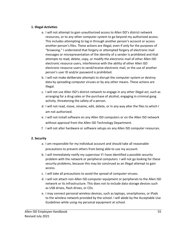#### **1. Illegal Activities**

- a. I will not attempt to gain unauthorized access to Allen ISD's district network resources, or to any other computer system to go beyond my authorized access. This includes attempting to log in through another person's account or access another person's files. These actions are illegal, even if only for the purposes of "browsing." I understand that forgery or attempted forgery of electronic mail messages or misrepresentation of the identity of a sender is prohibited and that attempts to read, delete, copy, or modify the electronic mail of other Allen ISD electronic resource users, interference with the ability of other Allen ISD electronic resource users to send/receive electronic mail, or the use of another person's user ID and/or password is prohibited.
- b. I will not make deliberate attempts to disrupt the computer system or destroy data by spreading computer viruses or by any other means. These actions are illegal.
- c. I will not use Allen ISD's district network to engage in any other illegal act, such as arranging for a drug sales or the purchase of alcohol, engaging in criminal gang activity, threatening the safety of a person.
- d. I will not read, move, rename, edit, delete, or in any way alter the files to which I am not authorized.
- e. I will not install software on any Allen ISD computers or on the Allen ISD network without approval from the Allen ISD Technology Department.
- f. I will not alter hardware or software setups on any Allen ISD computer resources.

#### **2. Security**

- a. I am responsible for my individual account and should take all reasonable precautions to prevent others from being able to use my account.
- b. I will immediately notify my supervisor if I have identified a possible security problem with the network or peripheral computers. I will not go looking for these security problems, because this may be construed as an illegal attempt to gain access.
- c. I will take all precautions to avoid the spread of computer viruses.
- d. I will not attach non-Allen ISD computer equipment or peripherals to the Allen ISD network or its infrastructure. This does not to include data storage devices such as USB drives, flash drives, or CDs.
- e. I may connect personal wireless devices, such as laptops, smartphones, or iPads to the wireless network provided by the school. I will abide by the Acceptable Use Guidelines while using my personal equipment at school.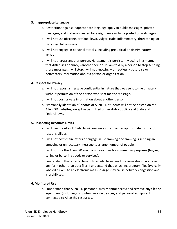#### **3. Inappropriate Language**

- a. Restrictions against inappropriate language apply to public messages, private messages, and material created for assignments or to be posted on web pages.
- b. I will not use obscene, profane, lewd, vulgar, rude, inflammatory, threatening, or disrespectful language.
- c. I will not engage in personal attacks, including prejudicial or discriminatory attacks.
- d. I will not harass another person. Harassment is persistently acting in a manner that distresses or annoys another person. If I am told by a person to stop sending those messages, I will stop. I will not knowingly or recklessly post false or defamatory information about a person or organization.

#### **4. Respect for Privacy**

- a. I will not repost a message confidential in nature that was sent to me privately without permission of the person who sent me the message.
- b. I will not post private information about another person.
- c. "Personally identifiable" photos of Allen ISD students will not be posted on the Allen ISD websites, except as permitted under district policy and State and Federal laws.

#### **5. Respecting Resource Limits**

- a. I will use the Allen ISD electronic resources in a manner appropriate for my job responsibilities.
- b. I will not post chain letters or engage in "spamming." Spamming is sending an annoying or unnecessary message to a large number of people.
- c. I will not use the Allen ISD electronic resources for commercial purposes (buying, selling or bartering goods or services).
- d. I understand that an attachment to an electronic mail message should not take any form other than data files. I understand that attaching program files (typically labeled ".exe") to an electronic mail message may cause network congestion and is prohibited.

#### **6. Monitored Use**

a. I understand that Allen ISD personnel may monitor access and remove any files or equipment (including computers, mobile devices, and personal equipment) connected to Allen ISD resources.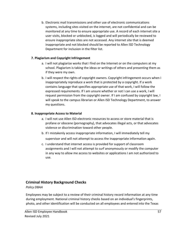b. Electronic mail transmissions and other use of electronic communications systems, including sites visited on the internet, are not confidential and can be monitored at any time to ensure appropriate use. A record of each internet site a user visits, blocked or unblocked, is logged and will periodically be reviewed to ensure inappropriate sites are not accessed. Any internet site that is deemed inappropriate and not blocked should be reported to Allen ISD Technology Department for inclusion in the filter list.

#### **7. Plagiarism and Copyright Infringement**

- a. I will not plagiarize works that I find on the Internet or on the computers at my school. Plagiarism is taking the ideas or writings of others and presenting them as if they were my own.
- b. I will respect the rights of copyright owners. Copyright infringement occurs when I inappropriately reproduce a work that is protected by a copyright. If a work contains language that specifies appropriate use of that work, I will follow the expressed requirements. If I am unsure whether or not I can use a work, I will request permission from the copyright owner. If I am confused by copyright law, I will speak to the campus librarian or Allen ISD Technology Department, to answer my questions.

#### **8. Inappropriate Access to Material**

- a. I will not use Allen ISD electronic resources to access or store material that is profane or obscene (pornography), that advocates illegal acts, or that advocates violence or discrimination toward other people.
- b. If I mistakenly access inappropriate information, I will immediately tell my supervisor and will not attempt to access the inappropriate information again.
- c. I understand that internet access is provided for support of classroom assignments and I will not attempt to surf anonymously or modify the computer in any way to allow me access to websites or applications I am not authorized to use.

## **Criminal History Background Checks**

#### *Policy DBAA*

Employees may be subject to a review of their criminal history record information at any time during employment. National criminal history checks based on an individual's fingerprints, photo, and other identification will be conducted on all employees and entered into the Texas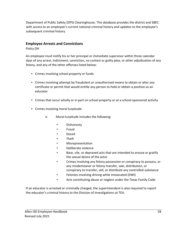Department of Public Safety (DPS) Clearinghouse. This database provides the district and SBEC with access to an employee's current national criminal history and updates to the employee's subsequent criminal history.

#### **Employee Arrests and Convictions**

#### *Policy DH*

An employee must notify his or her principal or immediate supervisor within three calendar days of any arrest, indictment, conviction, no contest or guilty plea, or other adjudication of any felony, and any of the other offenses listed below:

- Crimes involving school property or funds
- Crimes involving attempt by fraudulent or unauthorized means to obtain or alter any certificate or permit that would entitle any person to hold or obtain a position as an educator
- Crimes that occur wholly or in part on school property or at a school-sponsored activity
- Crimes involving moral turpitude:
	- o Moral turpitude includes the following:
		- **Dishonesty**
		- **Fraud**
		- **Deceit**
		- **Theft**
		- **Misrepresentation**
		- Deliberate violence
		- Base, vile, or depraved acts that are intended to arouse or gratify the sexual desire of the actor
		- Crimes involving any felony possession or conspiracy to possess, or any misdemeanor or felony transfer, sale, distribution, or conspiracy to transfer, sell, or distribute any controlled substance
		- Felonies involving driving while intoxicated (DWI)
		- Acts constituting abuse or neglect under the Texas Family Code

If an educator is arrested or criminally charged, the superintendent is also required to report the educator's criminal history to the Division of Investigations at TEA.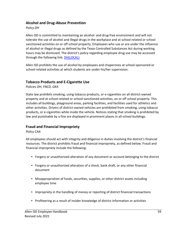## **Alcohol and Drug-Abuse Prevention**

#### *Policy DH*

Allen ISD is committed to maintaining an alcohol- and drug-free environment and will not tolerate the use of alcohol and illegal drugs in the workplace and at school-related or school sanctioned activities on or off school property. Employees who use or are under the influence of alcohol or illegal drugs as defined by the Texas Controlled Substances Act during working hours may be dismissed. The district's policy regarding employee drug use may be accessed through the following link: [DH\(LOCAL\)](https://pol.tasb.org/Policy/Download/305?filename=DH(LOCAL).html&title=EMPLOYEE%20STANDARDS%20OF%20CONDUCT&subtitle=)

Allen ISD prohibits the use of alcohol by employees and chaperones at school-sponsored or school-related activities at which students are under his/her supervision.

## **Tobacco Products and E-Cigarette Use**

*Policies DH, FNCD, GKA* 

State law prohibits smoking, using tobacco products, or e-cigarettes on all district-owned property and at school-related or school-sanctioned activities, on or off school property. This includes all buildings, playground areas, parking facilities, and facilities used for athletics and other activities. Drivers of district-owned vehicles are prohibited from smoking, using tobacco products, or e-cigarettes while inside the vehicle. Notices stating that smoking is prohibited by law and punishable by a fine are displayed in prominent places in all school buildings.

## **Fraud and Financial Impropriety**

#### *Policy CAA*

All employees should act with integrity and diligence in duties involving the district's financial resources. The district prohibits fraud and financial impropriety, as defined below. Fraud and financial impropriety include the following:

- Forgery or unauthorized alteration of any document or account belonging to the district
- Forgery or unauthorized alteration of a check, bank draft, or any other financial document
- Misappropriation of funds, securities, supplies, or other district assets including employee time
- Impropriety in the handling of money or reporting of district financial transactions
- Profiteering as a result of insider knowledge of district information or activities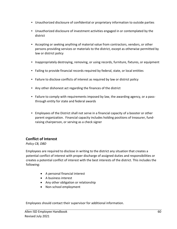- Unauthorized disclosure of confidential or proprietary information to outside parties
- Unauthorized disclosure of investment activities engaged in or contemplated by the district
- Accepting or seeking anything of material value from contractors, vendors, or other persons providing services or materials to the district, except as otherwise permitted by law or district policy
- Inappropriately destroying, removing, or using records, furniture, fixtures, or equipment
- Failing to provide financial records required by federal, state, or local entities
- Failure to disclose conflicts of interest as required by law or district policy
- Any other dishonest act regarding the finances of the district
- Failure to comply with requirements imposed by law, the awarding agency, or a passthrough entity for state and federal awards
- Employees of the District shall not serve in a financial capacity of a booster or other parent organization. Financial capacity includes holding positions of treasurer, fundraising chairperson, or serving as a check signer

## **Conflict of Interest**

*Policy CB, DBD* 

Employees are required to disclose in writing to the district any situation that creates a potential conflict of interest with proper discharge of assigned duties and responsibilities or creates a potential conflict of interest with the best interests of the district. This includes the following:

- A personal financial interest
- A business interest
- Any other obligation or relationship
- Non-school employment

Employees should contact their supervisor for additional information.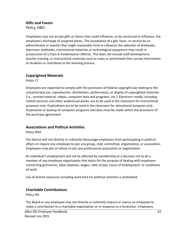## **Gifts and Favors**

*Policy DBD*

Employees may not accept gifts or favors that could influence, or be construed to influence, the employee's discharge of assigned duties. The acceptance of a gift, favor, or service by an administrator or teacher that might reasonably tend to influence the selection of textbooks, electronic textbooks, instructional materials or technological equipment may result in prosecution of a Class B misdemeanor offense. This does not include staff development, teacher training, or instructional materials such as maps or worksheets that convey information to students or contribute to the learning process.

## **Copyrighted Materials**

*Policy CY* 

Employees are expected to comply with the provisions of federal copyright law relating to the unauthorized use, reproduction, distribution, performance, or display of copyrighted materials (i.e., printed material, videos, computer data and programs, etc.). Electronic media, including motion pictures and other audiovisual works, are to be used in the classroom for instructional purposes only. Duplications are to be used in the classroom for educational purposes only. Duplication or backup of computer programs and data must be made within the provisions of the purchase agreement.

## **Associations and Political Activities**

*Policy DGA* 

The district will not directly or indirectly discourage employees from participating in political affairs or require any employee to join any group, club, committee, organization, or association. Employees may join or refuse to join any professional association or organization.

An individual's employment will not be affected by membership or a decision not to be a member of any employee organization that exists for the purpose of dealing with employers concerning grievances, labor disputes, wages, rates of pay, hours of employment, or conditions of work.

Use of district resources including work time for political activities is prohibited.

#### **Charitable Contributions**

*Policy DG* 

The Board or any employee may not directly or indirectly require or coerce an employee to make a contribution to a charitable organization or in response to a fundraiser. Employees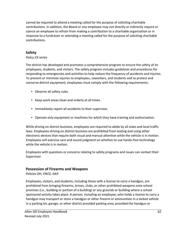cannot be required to attend a meeting called for the purpose of soliciting charitable contributions. In addition, the Board or any employee may not directly or indirectly require or coerce an employee to refrain from making a contribution to a charitable organization or in response to a fundraiser or attending a meeting called for the purpose of soliciting charitable contributions.

## **Safety**

#### *Policy CK series*

The district has developed and promotes a comprehensive program to ensure the safety of its employees, students, and visitors. The safety program includes guidelines and procedures for responding to emergencies and activities to help reduce the frequency of accidents and injuries. To prevent or minimize injuries to employees, coworkers, and students and to protect and conserve district equipment, employees must comply with the following requirements:

- Observe all safety rules.
- Keep work areas clean and orderly at all times.
- Immediately report all accidents to their supervisor.
- Operate only equipment or machines for which they have training and authorization.

While driving on district business, employees are required to abide by all state and local traffic laws. Employees driving on district business are prohibited from texting and using other electronic devices that require both visual and manual attention while the vehicle is in motion. Employees will exercise care and sound judgment on whether to use hands-free technology while the vehicle is in motion.

Employees with questions or concerns relating to safety programs and issues can contact their Supervisor.

## **Possession of Firearms and Weapons**

#### *Policies DH, FNCG, GKA*

Employees, visitors, and students, including those with a license to carry a handgun, are prohibited from bringing firearms, knives, clubs, or other prohibited weapons onto school premises (i.e., building or portion of a building) or any grounds or building where a school sponsored activity takes place. A person, including an employee, who holds a license to carry a handgun may transport or store a handgun or other firearm or ammunition in a locked vehicle in a parking lot, garage, or other district provided parking area, provided the handgun or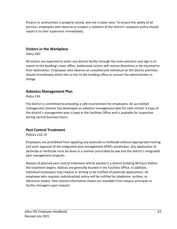firearm or ammunition is properly stored, and not in plain view. To ensure the safety of all persons, employees who observe or suspect a violation of the district's weapons policy should report it to their supervisor immediately.

## **Visitors in the Workplace**

*Policy GKC* 

All visitors are expected to enter any district facility through the main entrance and sign in or report to the building's main office. Authorized visitors will receive directions or be escorted to their destination. Employees who observe an unauthorized individual on the district premises should immediately direct him or her to the building office or contact the administrator in charge.

## **Asbestos Management Plan**

*Policy CKA* 

The district is committed to providing a safe environment for employees. An accredited management planner has developed an asbestos management plan for each school. A copy of the district's management plan is kept in the Facilities Office and is available for inspection during normal business hours.

## **Pest Control Treatment**

*Policies CLB, DI* 

Employees are prohibited from applying any pesticide or herbicide without appropriate training and prior approval of the integrated pest management (IPM) coordinator. Any application of pesticide or herbicide must be done in a manner prescribed by law and the district's integrated pest management program.

Notices of planned pest control treatment will be posted in a district building 48 hours before the treatment begins. Notices are generally located in the Facilities Office. In addition, individual employees may request in writing to be notified of pesticide applications. An employee who requests individualized notice will be notified by telephone, written, or electronic means. Pest control information sheets are available from campus principals or facility managers upon request.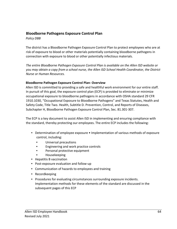#### **Bloodborne Pathogens Exposure Control Plan**

*Policy DBB* 

The district has a Bloodborne Pathogen Exposure Control Plan to protect employees who are at risk of exposure to blood or other materials potentially containing bloodborne pathogens in connection with exposure to blood or other potentially infectious materials.

*The entire Bloodborne Pathogen Exposure Control Plan is available on the Allen ISD website or you may obtain a copy from a school nurse, the Allen ISD School Health Coordinator, the District Nurse or Human Resources.* 

#### **Bloodborne Pathogen Exposure Control Plan- Overview**

Allen ISD is committed to providing a safe and healthful work environment for our entire staff. In pursuit of this goal, the exposure control plan (ECP) is provided to eliminate or minimize occupational exposure to bloodborne pathogens in accordance with OSHA standard 29 CFR 1910.1030, "Occupational Exposure to Bloodborne Pathogens" and Texas Statutes, Health and Safety Code, Title Two. Health, Subtitle D. Prevention, Control, and Reports of Diseases, Subchapter H, Bloodborne Pathogen Exposure Control Plan, Sec. 81.301-307.

The ECP is a key document to assist Allen ISD in implementing and ensuring compliance with the standard, thereby protecting our employees. The entire ECP includes the following:

- Determination of employee exposure Implementation of various methods of exposure control, including:
	- Universal precautions
	- Engineering and work practice controls
	- Personal protective equipment
	- Housekeeping
- Hepatitis B vaccination
- Post-exposure evaluation and follow-up
- Communication of hazards to employees and training
- Recordkeeping
- Procedures for evaluating circumstances surrounding exposure incidents. Implementation methods for these elements of the standard are discussed in the subsequent pages of this ECP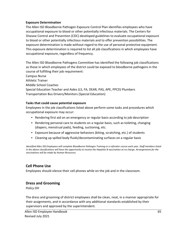#### **Exposure Determination**

The Allen ISD Bloodborne Pathogen Exposure Control Plan identifies employees who have occupational exposure to blood or other potentially infectious materials. The Centers for Disease Control and Prevention (CDC) developed guidelines to evaluate occupational exposure to blood or other potentially infectious materials and to offer prevention possibilities. The exposure determination is made without regard to the use of personal protective equipment. This exposure determination is required to list all job classifications in which employees have occupational exposure, regardless of frequency.

The Allen ISD Bloodborne Pathogens Committee has identified the following job classifications as those in which employees of the district could be exposed to bloodborne pathogens in the course of fulfilling their job requirement:

Campus Nurse Athletic Trainer Middle School Coaches Special Education Teacher and Aides (LS, FA, DEAR, PAS, APE, PPCD) Plumbers Transportation Bus Drivers/Monitors (Special Education)

#### **Tasks that could cause potential exposure**

Employees in the job classifications listed above perform some tasks and procedures which occupational exposure may occur:

- Rendering first aid on an emergency or regular basis according to job description
- Rendering personal care to students on a regular basis, such as toileting, changing (diapers, menstrual pads), feeding, suctioning, etc.
- Exposure because of aggressive behaviors (biting, scratching, etc.) of students
- Cleaning up spilled body fluids/decontaminating surfaces on a regular basis

*Identified Allen ISD Employees will complete Bloodborne Pathogen Training or a refresher course each year. Staff members listed in the above classifications will have the opportunity to receive the Hepatitis B vaccination at no charge. Arrangements for the vaccinations will be made by Human Resources.* 

## **Cell Phone Use**

Employees should silence their cell phones while on the job and in the classroom.

#### **Dress and Grooming**

*Policy DH* 

The dress and grooming of district employees shall be clean, neat, in a manner appropriate for their assignments, and in accordance with any additional standards established by their supervisors and approved by the superintendent.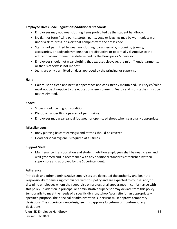#### **Employee Dress Code Regulations/Additional Standards:**

- Employees may not wear clothing items prohibited by the student handbook.
- No tight or form fitting pants, stretch pants, yoga or leggings may be worn unless worn under a skirt, dress, or skort that complies with the dress code.
- Staff is not permitted to wear any clothing, paraphernalia, grooming, jewelry, accessories, or body adornments that are disruptive or potentially disruptive to the educational environment as determined by the Principal or Supervisor.
- Employees should not wear clothing that exposes cleavage, the midriff, undergarments, or that is otherwise not modest.
- Jeans are only permitted on days approved by the principal or supervisor.

#### **Hair:**

• Hair must be clean and neat in appearance and consistently maintained. Hair styles/color must not be disruptive to the educational environment. Beards and moustaches must be neatly trimmed.

#### **Shoes:**

- Shoes should be in good condition.
- Plastic or rubber flip flops are not permissible.
- Employees may wear sandal footwear or open-toed shoes when seasonally appropriate.

#### **Miscellaneous:**

- Body piercing (except earrings) and tattoos should be covered.
- Good personal hygiene is required at all times.

#### **Support Staff:**

• Maintenance, transportation and student nutrition employees shall be neat, clean, and well-groomed and in accordance with any additional standards established by their supervisors and approved by the Superintendent.

#### **Adherence:**

Principals and other administrative supervisors are delegated the authority and bear the responsibility for ensuring compliance with this policy and are expected to counsel and/or discipline employees whom they supervise on professional appearance in conformance with this policy. In addition, a principal or administrative supervisor may deviate from this policy temporarily to meet the needs of a specific division/school/work site for an appropriately specified purpose. The principal or administrative supervisor must approve temporary deviations. The superintendent/designee must approve long-term or non-temporary deviations.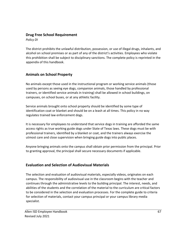## **Drug Free School Requirement**

*Policy DI* 

The district prohibits the unlawful distribution, possession, or use of illegal drugs, inhalants, and alcohol on school premises or as part of any of the district's activities. Employees who violate this prohibition shall be subject to disciplinary sanctions. The complete policy is reprinted in the appendix of this handbook.

## **Animals on School Property**

No animals except those used in the instructional program or working service animals (those used by persons as seeing eye dogs, companion animals, those handled by professional trainers, or identified service animals in training) shall be allowed in school buildings, on campuses, on school buses, or at any athletic facility.

Service animals brought onto school property should be identified by some type of identification coat or blanket and should be on a leash at all times. This policy in no way regulates trained law enforcement dogs.

It is necessary for employees to understand that service dogs in training are afforded the same access rights as true working guide dogs under State of Texas laws. These dogs must be with professional trainers, identified by a blanket or coat, and the trainers always exercise the utmost care and close supervision when bringing guide dogs into public places.

Anyone bringing animals onto the campus shall obtain prior permission from the principal. Prior to granting approval, the principal shall secure necessary documents if applicable.

## **Evaluation and Selection of Audiovisual Materials**

The selection and evaluation of audiovisual materials, especially videos, originates on each campus. The responsibility of audiovisual use in the classroom begins with the teacher and continues through the administrative levels to the building principal. The interest, needs, and abilities of the students and the correlation of the material to the curriculum are critical factors to be considered in the selection and evaluation processes. For the complete guide to criteria for selection of materials, contact your campus principal or your campus library media specialist.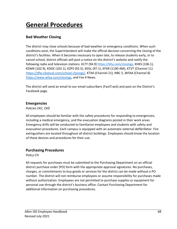# **General Procedures**

## **Bad Weather Closing**

The district may close schools because of bad weather or emergency conditions. When such conditions exist, the Superintendent will make the official decision concerning the closing of the district's facilities. When it becomes necessary to open late, to release students early, or to cancel school, district officials will post a notice on the district's website and notify the following radio and television stations: KLTY (94.9) [https://klty.com/closings,](https://klty.com/closings) KHKS (106.1), KDMX (102.9), KDGE (102.1), KZPS (92.5), KEGL (97.1), KFXR (1190 AM), KTVT (Channel 11) [https://dfw.cbslocal.com/school-closings/,](https://dfw.cbslocal.com/school-closings/) KTXA (Channel 21), NBC 5, WFAA (Channel 8) [https://www.wfaa.com/closings,](https://www.wfaa.com/closings) and Fox 4 News.

The district will send an email to our email subscribers (FastTrack) and post on the District's Facebook page.

#### **Emergencies**

*Policies CKC, CKD* 

All employees should be familiar with the safety procedures for responding to emergencies, including a medical emergency, and the evacuation diagrams posted in their work areas. Emergency drills will be conducted to familiarize employees and students with safety and evacuation procedures. Each campus is equipped with an automatic external defibrillator. Fire extinguishers are located throughout all district buildings. Employees should know the location of these devices and procedures for their use.

## **Purchasing Procedures**

*Policy CH* 

All requests for purchases must be submitted to the Purchasing Department on an official district purchase order (PO) form with the appropriate approval signatures. No purchases, charges, or commitments to buy goods or services for the district can be made without a PO number. The district will not reimburse employees or assume responsibility for purchases made without authorization. Employees are not permitted to purchase supplies or equipment for personal use through the district's business office. Contact Purchasing Department for additional information on purchasing procedures.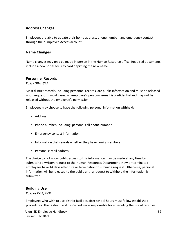## **Address Changes**

Employees are able to update their home address, phone number, and emergency contact through their Employee Access account.

## **Name Changes**

Name changes may only be made in person in the Human Resource office. Required documents include a new social security card depicting the new name.

#### **Personnel Records**

*Policy DBA, GBA* 

Most district records, including personnel records, are public information and must be released upon request. In most cases, an employee's personal e-mail is confidential and may not be released without the employee's permission.

Employees may choose to have the following personal information withheld:

- Address
- Phone number, including personal cell phone number
- Emergency contact information
- Information that reveals whether they have family members
- Personal e-mail address

The choice to not allow public access to this information may be made at any time by submitting a written request to the Human Resources Department. New or terminated employees have 14 days after hire or termination to submit a request. Otherwise, personal information will be released to the public until a request to withhold the information is submitted.

#### **Building Use**

*Policies DGA, GKD* 

Employees who wish to use district facilities after school hours must follow established procedures. The District Facilities Scheduler is responsible for scheduling the use of facilities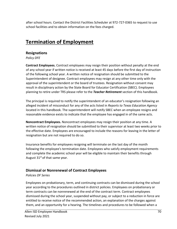after school hours. Contact the District Facilities Scheduler at 972-727-0365 to request to use school facilities and to obtain information on the fees charged.

# **Termination of Employment**

## **Resignations**

*Policy DFE* 

**Contract Employees.** Contract employees may resign their position without penalty at the end of any school year if written notice is received at least 45 days before the first day of instruction of the following school year. A written notice of resignation should be submitted to the Superintendent of designee. Contract employees may resign at any other time only with the approval of the superintendent or the board of trustees. Resignation without consent may result in disciplinary action by the State Board for Educator Certification (SBEC). Employees planning to retire under TRS please refer to the *Teacher Retirement* section of this handbook.

The principal is required to notify the superintendent of an educator's resignation following an alleged incident of misconduct for any of the acts listed in *Reports to Texas Education Agency* located in this handbook. The superintendent will notify SBEC when an employee resigns and reasonable evidence exists to indicate that the employee has engaged in of the same acts.

**Noncontract Employees.** Noncontract employees may resign their position at any time. A written notice of resignation should be submitted to their supervisor at least two weeks prior to the effective date. Employees are encouraged to include the reasons for leaving in the letter of resignation but are not required to do so.

Insurance benefits for employees resigning will terminate on the last day of the month following the employee's termination date. Employees who satisfy employment requirements and complete the academic school year will be eligible to maintain their benefits through August  $31<sup>st</sup>$  of that same year.

## **Dismissal or Nonrenewal of Contract Employees**

*Policies DF Series* 

Employees on probationary, term, and continuing contracts can be dismissed during the school year according to the procedures outlined in district policies. Employees on probationary or term contracts can be nonrenewed at the end of the contract term. Contract employees dismissed during the school year, suspended without pay, or subject to a reduction in force are entitled to receive notice of the recommended action, an explanation of the charges against them, and an opportunity for a hearing. The timelines and procedures to be followed when a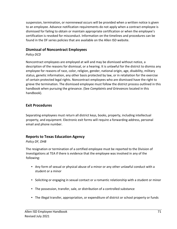suspension, termination, or nonrenewal occurs will be provided when a written notice is given to an employee. Advance notification requirements do not apply when a contract employee is dismissed for failing to obtain or maintain appropriate certification or when the employee's certification is revoked for misconduct. Information on the timelines and procedures can be found in the DF series policies that are available on the Allen ISD website.

## **Dismissal of Noncontract Employees**

*Policy DCD* 

Noncontract employees are employed at will and may be dismissed without notice, a description of the reasons for dismissal, or a hearing. It is unlawful for the district to dismiss any employee for reasons of race, color, religion, gender, national origin, age, disability, military status, genetic information, any other basis protected by law, or in retaliation for the exercise of certain protected legal rights. Noncontract employees who are dismissed have the right to grieve the termination. The dismissed employee must follow the district process outlined in this handbook when pursuing the grievance. (See *Complaints and Grievances* located in this handbook).

## **Exit Procedures**

Separating employees must return all district keys, books, property, including intellectual property, and equipment. Electronic exit forms will require a forwarding address, personal email and phone number.

## **Reports to Texas Education Agency**

#### *Policy DF, DHB*

The resignation or termination of a certified employee must be reported to the Division of Investigations at TEA if there is evidence that the employee was involved in any of the following:

- Any form of sexual or physical abuse of a minor or any other unlawful conduct with a student or a minor
- Soliciting or engaging in sexual contact or a romantic relationship with a student or minor
- The possession, transfer, sale, or distribution of a controlled substance
- The illegal transfer, appropriation, or expenditure of district or school property or funds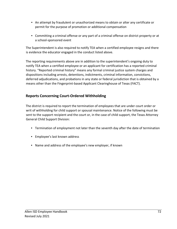- An attempt by fraudulent or unauthorized means to obtain or alter any certificate or permit for the purpose of promotion or additional compensation
- Committing a criminal offense or any part of a criminal offense on district property or at a school-sponsored event

The Superintendent is also required to notify TEA when a certified employee resigns and there is evidence the educator engaged in the conduct listed above.

The reporting requirements above are in addition to the superintendent's ongoing duty to notify TEA when a certified employee or an applicant for certification has a reported criminal history. "Reported criminal history" means any formal criminal justice system charges and dispositions including arrests, detentions, indictments, criminal information, convictions, deferred adjudications, and probations in any state or federal jurisdiction that is obtained by a means other than the Fingerprint-based Applicant Clearinghouse of Texas (FACT).

## **Reports Concerning Court-Ordered Withholding**

The district is required to report the termination of employees that are under court order or writ of withholding for child support or spousal maintenance. Notice of the following must be sent to the support recipient and the court or, in the case of child support, the Texas Attorney General Child Support Division:

- Termination of employment not later than the seventh day after the date of termination
- Employee's last known address
- Name and address of the employee's new employer, if known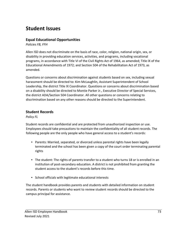# **Student Issues**

### **Equal Educational Opportunities**

*Policies FB, FFH* 

Allen ISD does not discriminate on the basis of race, color, religion, national origin, sex, or disability in providing education services, activities, and programs, including vocational programs, in accordance with Title VI of the Civil Rights Act of 1964, as amended; Title IX of the Educational Amendments of 1972; and Section 504 of the Rehabilitation Act of 1973, as amended.

Questions or concerns about discrimination against students based on sex, including sexual harassment should be directed to: Kim McLaughlin, Assistant Superintendent of School Leadership, the district Title IX Coordinator. Questions or concerns about discrimination based on a disability should be directed to Montie Parker Jr., Executive Director of Special Services, the district ADA/Section 504 Coordinator. All other questions or concerns relating to discrimination based on any other reasons should be directed to the Superintendent.

# **Student Records**

*Policy FL* 

Student records are confidential and are protected from unauthorized inspection or use. Employees should take precautions to maintain the confidentiality of all student records. The following people are the only people who have general access to a student's records:

- Parents: Married, separated, or divorced unless parental rights have been legally terminated and the school has been given a copy of the court order terminating parental rights
- The student: The rights of parents transfer to a student who turns 18 or is enrolled in an institution of post-secondary education. A district is not prohibited from granting the student access to the student's records before this time.
- School officials with legitimate educational interests

The student handbook provides parents and students with detailed information on student records. Parents or students who want to review student records should be directed to the campus principal for assistance.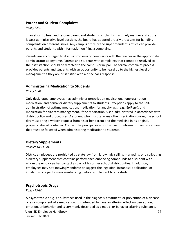#### **Parent and Student Complaints**

#### *Policy FNG*

In an effort to hear and resolve parent and student complaints in a timely manner and at the lowest administrative level possible, the board has adopted orderly processes for handling complaints on different issues. Any campus office or the superintendent's office can provide parents and students with information on filing a complaint.

Parents are encouraged to discuss problems or complaints with the teacher or the appropriate administrator at any time. Parents and students with complaints that cannot be resolved to their satisfaction should be directed to the campus principal. The formal complaint process provides parents and students with an opportunity to be heard up to the highest level of management if they are dissatisfied with a principal's response.

#### **Administering Medication to Students**

*Policy FFAC* 

Only designated employees may administer prescription medication, nonprescription medication, and herbal or dietary supplements to students. Exceptions apply to the selfadministration of asthma medication, medication for anaphylaxis (e.g., EpiPen<sup>®</sup>), and medication for diabetes management, if the medication is self-administered in accordance with district policy and procedures. A student who must take any other medication during the school day must bring a written request from his or her parent and the medicine in its original, properly labeled container. Contact the principal or school nurse for information on procedures that must be followed when administering medication to students.

#### **Dietary Supplements**

#### *Policies DH, FFAC*

District employees are prohibited by state law from knowingly selling, marketing, or distributing a dietary supplement that contains performance-enhancing compounds to a student with whom the employee has contact as part of his or her school district duties. In addition, employees may not knowingly endorse or suggest the ingestion, intranasal application, or inhalation of a performance-enhancing dietary supplement to any student.

## **Psychotropic Drugs**

*Policy FFAC* 

A psychotropic drug is a substance used in the diagnosis, treatment, or prevention of a disease or as a component of a medication. It is intended to have an altering effect on perception, emotion, or behavior and is commonly described as a mood- or behavior-altering substance.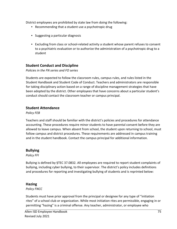District employees are prohibited by state law from doing the following:

- Recommending that a student use a psychotropic drug
- Suggesting a particular diagnosis
- Excluding from class or school-related activity a student whose parent refuses to consent to a psychiatric evaluation or to authorize the administration of a psychotropic drug to a student

# **Student Conduct and Discipline**

#### *Policies in the FN series and FO series*

Students are expected to follow the classroom rules, campus rules, and rules listed in the Student Handbook and Student Code of Conduct. Teachers and administrators are responsible for taking disciplinary action based on a range of discipline management strategies that have been adopted by the district. Other employees that have concerns about a particular student's conduct should contact the classroom teacher or campus principal.

#### **Student Attendance**

*Policy FEB* 

Teachers and staff should be familiar with the district's policies and procedures for attendance accounting. These procedures require minor students to have parental consent before they are allowed to leave campus. When absent from school, the student upon returning to school, must follow campus and district procedures. These requirements are addressed in campus training and in the student handbook. Contact the campus principal for additional information.

## **Bullying**

*Policy FFI*

Bullying is defined by §TEC 37.0832. All employees are required to report student complaints of bullying, including cyber bullying, to their supervisor. The district's policy includes definitions and procedures for reporting and investigating bullying of students and is reprinted below:

## **Hazing**

*Policy FNCC* 

Students must have prior approval from the principal or designee for any type of "initiation rites" of a school club or organization. While most initiation rites are permissible, engaging in or permitting "hazing" is a criminal offense. Any teacher, administrator, or employee who